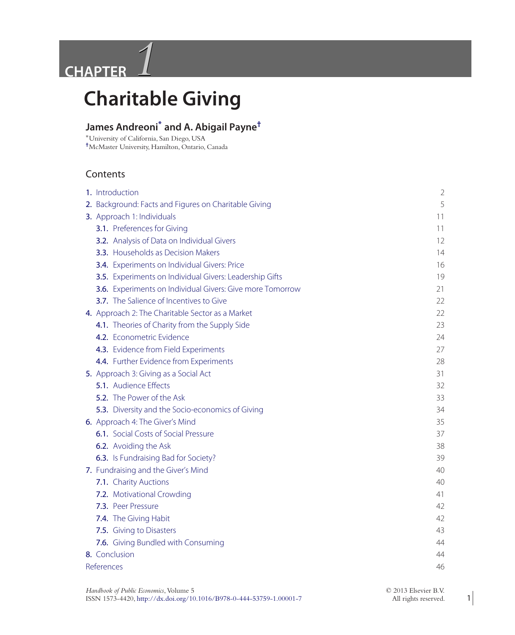

# **Charitable Giving**

## **James Andreoni[\\*](#page-1-0) and A. Abigail Payne[†](#page-1-0)**

∗University of California, San Diego, USA **[†](#page-1-0)**McMaster University, Hamilton, Ontario, Canada

## Contents

|            | 1. Introduction                                           | $\overline{2}$ |
|------------|-----------------------------------------------------------|----------------|
|            | 2. Background: Facts and Figures on Charitable Giving     | 5              |
|            | 3. Approach 1: Individuals                                | 11             |
|            | 3.1. Preferences for Giving                               | 11             |
|            | 3.2. Analysis of Data on Individual Givers                | 12             |
|            | <b>3.3.</b> Households as Decision Makers                 | 14             |
|            | 3.4. Experiments on Individual Givers: Price              | 16             |
|            | 3.5. Experiments on Individual Givers: Leadership Gifts   | 19             |
|            | 3.6. Experiments on Individual Givers: Give more Tomorrow | 21             |
|            | <b>3.7.</b> The Salience of Incentives to Give            | 22             |
|            | 4. Approach 2: The Charitable Sector as a Market          | 22             |
|            | 4.1. Theories of Charity from the Supply Side             | 23             |
|            | 4.2. Econometric Evidence                                 | 24             |
|            | 4.3. Evidence from Field Experiments                      | 27             |
|            | 4.4. Further Evidence from Experiments                    | 28             |
|            | 5. Approach 3: Giving as a Social Act                     | 31             |
|            | 5.1. Audience Effects                                     | 32             |
|            | <b>5.2.</b> The Power of the Ask                          | 33             |
|            | 5.3. Diversity and the Socio-economics of Giving          | 34             |
|            | 6. Approach 4: The Giver's Mind                           | 35             |
|            | <b>6.1.</b> Social Costs of Social Pressure               | 37             |
|            | 6.2. Avoiding the Ask                                     | 38             |
|            | 6.3. Is Fundraising Bad for Society?                      | 39             |
|            | 7. Fundraising and the Giver's Mind                       | 40             |
|            | 7.1. Charity Auctions                                     | 40             |
|            | 7.2. Motivational Crowding                                | 41             |
|            | 7.3. Peer Pressure                                        | 42             |
|            | 7.4. The Giving Habit                                     | 42             |
|            | 7.5. Giving to Disasters                                  | 43             |
|            | 7.6. Giving Bundled with Consuming                        | 44             |
|            | 8. Conclusion                                             | 44             |
| References |                                                           | 46             |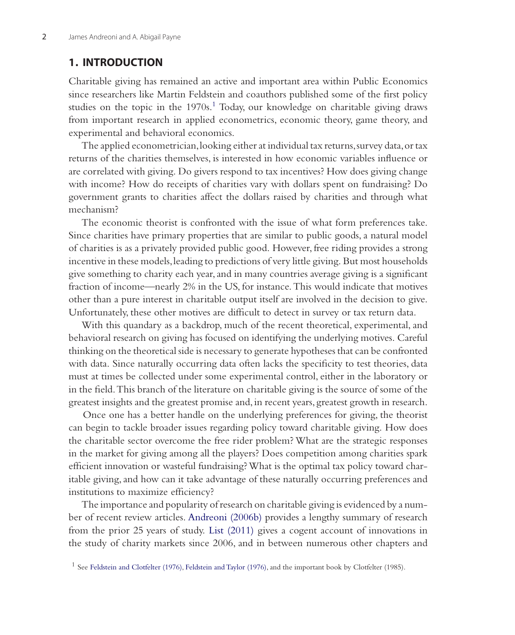## <span id="page-1-1"></span>**1. INTRODUCTION**

Charitable giving has remained an active and important area within Public Economics since researchers like Martin Feldstein and coauthors published some of the first policy studies on the topic in the  $1970s<sup>1</sup>$  Today, our knowledge on charitable giving draws from important research in applied econometrics, economic theory, game theory, and experimental and behavioral economics.

The applied econometrician,looking either at individual tax returns, survey data,or tax returns of the charities themselves, is interested in how economic variables influence or are correlated with giving. Do givers respond to tax incentives? How does giving change with income? How do receipts of charities vary with dollars spent on fundraising? Do government grants to charities affect the dollars raised by charities and through what mechanism?

The economic theorist is confronted with the issue of what form preferences take. Since charities have primary properties that are similar to public goods, a natural model of charities is as a privately provided public good. However, free riding provides a strong incentive in these models,leading to predictions of very little giving. But most households give something to charity each year, and in many countries average giving is a significant fraction of income—nearly 2% in the US, for instance. This would indicate that motives other than a pure interest in charitable output itself are involved in the decision to give. Unfortunately, these other motives are difficult to detect in survey or tax return data.

With this quandary as a backdrop, much of the recent theoretical, experimental, and behavioral research on giving has focused on identifying the underlying motives. Careful thinking on the theoretical side is necessary to generate hypotheses that can be confronted with data. Since naturally occurring data often lacks the specificity to test theories, data must at times be collected under some experimental control, either in the laboratory or in the field.This branch of the literature on charitable giving is the source of some of the greatest insights and the greatest promise and, in recent years, greatest growth in research.

Once one has a better handle on the underlying preferences for giving, the theorist can begin to tackle broader issues regarding policy toward charitable giving. How does the charitable sector overcome the free rider problem? What are the strategic responses in the market for giving among all the players? Does competition among charities spark efficient innovation or wasteful fundraising?What is the optimal tax policy toward charitable giving, and how can it take advantage of these naturally occurring preferences and institutions to maximize efficiency?

The importance and popularity of research on charitable giving is evidenced by a number of recent review articles. [Andreoni \(2006b\)](#page-44-1) provides a lengthy summary of research from the prior 25 years of study. [List \(2011\)](#page-47-0) gives a cogent account of innovations in the study of charity markets since 2006, and in between numerous other chapters and

<span id="page-1-0"></span><sup>&</sup>lt;sup>1</sup> See Feldstein and Clotfelter (1976), [Feldstein and Taylor \(1976\),](#page-47-1) and the important book by Clotfelter (1985).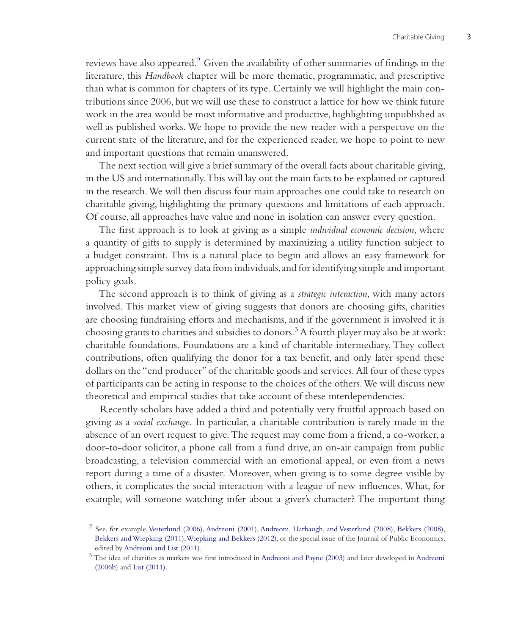reviews have also appeared.<sup>2</sup> Given the availability of other summaries of findings in the literature, this *Handbook* chapter will be more thematic, programmatic, and prescriptive than what is common for chapters of its type. Certainly we will highlight the main contributions since 2006, but we will use these to construct a lattice for how we think future work in the area would be most informative and productive, highlighting unpublished as well as published works. We hope to provide the new reader with a perspective on the current state of the literature, and for the experienced reader, we hope to point to new and important questions that remain unanswered.

The next section will give a brief summary of the overall facts about charitable giving, in the US and internationally.This will lay out the main facts to be explained or captured in the research.We will then discuss four main approaches one could take to research on charitable giving, highlighting the primary questions and limitations of each approach. Of course, all approaches have value and none in isolation can answer every question.

The first approach is to look at giving as a simple *individual economic decision*, where a quantity of gifts to supply is determined by maximizing a utility function subject to a budget constraint. This is a natural place to begin and allows an easy framework for approaching simple survey data from individuals,and for identifying simple and important policy goals.

The second approach is to think of giving as a *strategic interaction*, with many actors involved. This market view of giving suggests that donors are choosing gifts, charities are choosing fundraising efforts and mechanisms, and if the government is involved it is choosing grants to charities and subsidies to donors[.3](#page-2-1) A fourth player may also be at work: charitable foundations. Foundations are a kind of charitable intermediary. They collect contributions, often qualifying the donor for a tax benefit, and only later spend these dollars on the "end producer" of the charitable goods and services. All four of these types of participants can be acting in response to the choices of the others.We will discuss new theoretical and empirical studies that take account of these interdependencies.

Recently scholars have added a third and potentially very fruitful approach based on giving as a *social exchange*. In particular, a charitable contribution is rarely made in the absence of an overt request to give. The request may come from a friend, a co-worker, a door-to-door solicitor, a phone call from a fund drive, an on-air campaign from public broadcasting, a television commercial with an emotional appeal, or even from a news report during a time of a disaster. Moreover, when giving is to some degree visible by others, it complicates the social interaction with a league of new influences. What, for example, will someone watching infer about a giver's character? The important thing

<span id="page-2-0"></span><sup>2</sup> See, for example,[Vesterlund \(2006\),](#page-49-0) [Andreoni \(2001\),](#page-45-0) [Andreoni, Harbaugh, and Vesterlund \(2008\),](#page-45-1) [Bekkers \(2008\),](#page-45-2) [Bekkers andWiepking \(2011\),](#page-45-3)[Wiepking and Bekkers \(2012\),](#page-49-1) or the special issue of the Journal of Public Economics, edited by [Andreoni and List \(2011\).](#page-45-4)

<span id="page-2-1"></span> $3$  The idea of charities as markets was first introduced in [Andreoni and Payne \(2003\)](#page-45-5) and later developed in Andreoni (2006b) and [List \(2011\).](#page-47-0)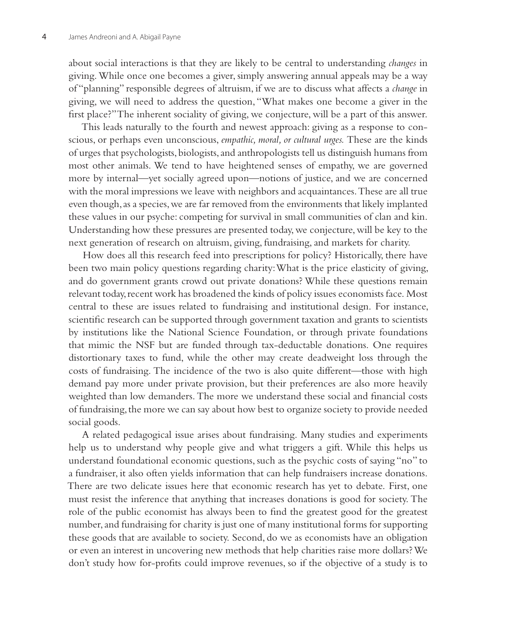about social interactions is that they are likely to be central to understanding *changes* in giving.While once one becomes a giver, simply answering annual appeals may be a way of "planning" responsible degrees of altruism, if we are to discuss what affects a *change* in giving, we will need to address the question, "What makes one become a giver in the first place?"The inherent sociality of giving, we conjecture, will be a part of this answer.

This leads naturally to the fourth and newest approach: giving as a response to conscious, or perhaps even unconscious, *empathic, moral, or cultural urges.* These are the kinds of urges that psychologists, biologists, and anthropologists tell us distinguish humans from most other animals. We tend to have heightened senses of empathy, we are governed more by internal—yet socially agreed upon—notions of justice, and we are concerned with the moral impressions we leave with neighbors and acquaintances.These are all true even though, as a species, we are far removed from the environments that likely implanted these values in our psyche: competing for survival in small communities of clan and kin. Understanding how these pressures are presented today, we conjecture, will be key to the next generation of research on altruism, giving, fundraising, and markets for charity.

How does all this research feed into prescriptions for policy? Historically, there have been two main policy questions regarding charity:What is the price elasticity of giving, and do government grants crowd out private donations? While these questions remain relevant today, recent work has broadened the kinds of policy issues economists face. Most central to these are issues related to fundraising and institutional design. For instance, scientific research can be supported through government taxation and grants to scientists by institutions like the National Science Foundation, or through private foundations that mimic the NSF but are funded through tax-deductable donations. One requires distortionary taxes to fund, while the other may create deadweight loss through the costs of fundraising. The incidence of the two is also quite different—those with high demand pay more under private provision, but their preferences are also more heavily weighted than low demanders. The more we understand these social and financial costs of fundraising, the more we can say about how best to organize society to provide needed social goods.

A related pedagogical issue arises about fundraising. Many studies and experiments help us to understand why people give and what triggers a gift. While this helps us understand foundational economic questions, such as the psychic costs of saying "no" to a fundraiser, it also often yields information that can help fundraisers increase donations. There are two delicate issues here that economic research has yet to debate. First, one must resist the inference that anything that increases donations is good for society. The role of the public economist has always been to find the greatest good for the greatest number, and fundraising for charity is just one of many institutional forms for supporting these goods that are available to society. Second, do we as economists have an obligation or even an interest in uncovering new methods that help charities raise more dollars?We don't study how for-profits could improve revenues, so if the objective of a study is to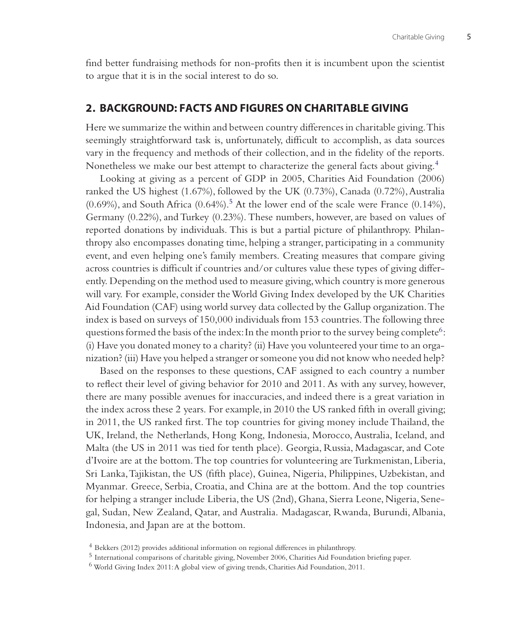find better fundraising methods for non-profits then it is incumbent upon the scientist to argue that it is in the social interest to do so.

## <span id="page-4-0"></span>**2. BACKGROUND: FACTS AND FIGURES ON CHARITABLE GIVING**

Here we summarize the within and between country differences in charitable giving.This seemingly straightforward task is, unfortunately, difficult to accomplish, as data sources vary in the frequency and methods of their collection, and in the fidelity of the reports. Nonetheless we make our best attempt to characterize the general facts about giving.<sup>[4](#page-4-1)</sup>

Looking at giving as a percent of GDP in 2005, Charities Aid Foundation (2006) ranked the US highest (1.67%), followed by the UK (0.73%), Canada (0.72%), Australia  $(0.69\%)$ , and South Africa  $(0.64\%)$ .<sup>5</sup> At the lower end of the scale were France  $(0.14\%)$ , Germany (0.22%), and Turkey (0.23%). These numbers, however, are based on values of reported donations by individuals. This is but a partial picture of philanthropy. Philanthropy also encompasses donating time, helping a stranger, participating in a community event, and even helping one's family members. Creating measures that compare giving across countries is difficult if countries and/or cultures value these types of giving differently. Depending on the method used to measure giving,which country is more generous will vary. For example, consider theWorld Giving Index developed by the UK Charities Aid Foundation (CAF) using world survey data collected by the Gallup organization.The index is based on surveys of 150,000 individuals from 153 countries.The following three questions formed the basis of the index: In the month prior to the survey being complete<sup>6</sup>: (i) Have you donated money to a charity? (ii) Have you volunteered your time to an organization? (iii) Have you helped a stranger or someone you did not know who needed help?

Based on the responses to these questions, CAF assigned to each country a number to reflect their level of giving behavior for 2010 and 2011. As with any survey, however, there are many possible avenues for inaccuracies, and indeed there is a great variation in the index across these 2 years. For example, in 2010 the US ranked fifth in overall giving; in 2011, the US ranked first. The top countries for giving money include Thailand, the UK, Ireland, the Netherlands, Hong Kong, Indonesia, Morocco, Australia, Iceland, and Malta (the US in 2011 was tied for tenth place). Georgia, Russia, Madagascar, and Cote d'Ivoire are at the bottom.The top countries for volunteering areTurkmenistan, Liberia, Sri Lanka,Tajikistan, the US (fifth place), Guinea, Nigeria, Philippines, Uzbekistan, and Myanmar. Greece, Serbia, Croatia, and China are at the bottom. And the top countries for helping a stranger include Liberia, the US (2nd), Ghana, Sierra Leone, Nigeria, Senegal, Sudan, New Zealand, Qatar, and Australia. Madagascar, Rwanda, Burundi, Albania, Indonesia, and Japan are at the bottom.

<sup>4</sup> Bekkers (2012) provides additional information on regional differences in philanthropy.

<span id="page-4-1"></span><sup>5</sup> International comparisons of charitable giving, November 2006, Charities Aid Foundation briefing paper.

<span id="page-4-3"></span><span id="page-4-2"></span><sup>6</sup> World Giving Index 2011:A global view of giving trends, Charities Aid Foundation, 2011.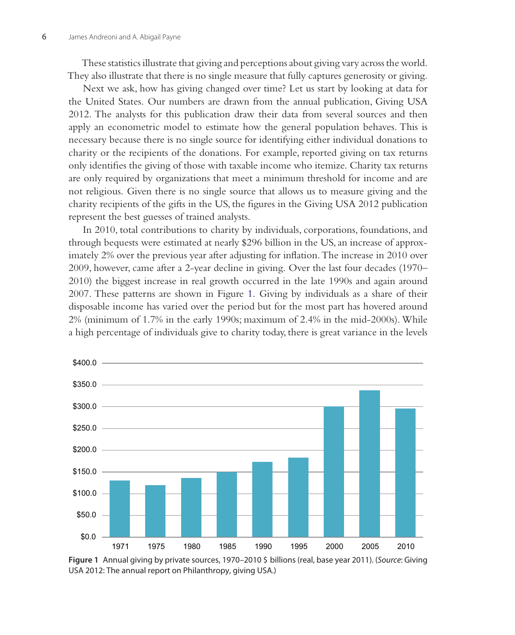These statistics illustrate that giving and perceptions about giving vary across the world. They also illustrate that there is no single measure that fully captures generosity or giving.

Next we ask, how has giving changed over time? Let us start by looking at data for the United States. Our numbers are drawn from the annual publication, Giving USA 2012. The analysts for this publication draw their data from several sources and then apply an econometric model to estimate how the general population behaves. This is necessary because there is no single source for identifying either individual donations to charity or the recipients of the donations. For example, reported giving on tax returns only identifies the giving of those with taxable income who itemize. Charity tax returns are only required by organizations that meet a minimum threshold for income and are not religious. Given there is no single source that allows us to measure giving and the charity recipients of the gifts in the US, the figures in the Giving USA 2012 publication represent the best guesses of trained analysts.

In 2010, total contributions to charity by individuals, corporations, foundations, and through bequests were estimated at nearly \$296 billion in the US, an increase of approximately 2% over the previous year after adjusting for inflation.The increase in 2010 over 2009, however, came after a 2-year decline in giving. Over the last four decades (1970– 2010) the biggest increase in real growth occurred in the late 1990s and again around 2007. These patterns are shown in Figure [1.](#page-5-0) Giving by individuals as a share of their disposable income has varied over the period but for the most part has hovered around 2% (minimum of 1.7% in the early 1990s; maximum of 2.4% in the mid-2000s).While a high percentage of individuals give to charity today, there is great variance in the levels



<span id="page-5-0"></span>**Figure 1** Annual giving by private sources, 1970–2010 \$ billions (real, base year 2011). (*Source*: Giving USA 2012: The annual report on Philanthropy, giving USA.)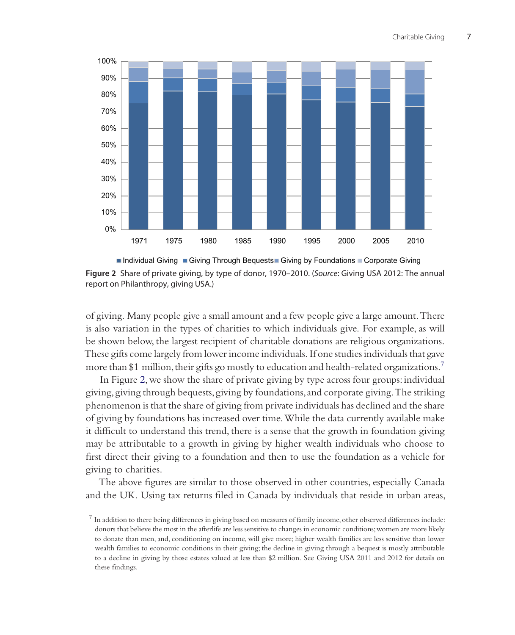

<span id="page-6-1"></span>Individual Giving Giving Through Bequests Giving by Foundations Corporate Giving **Figure 2** Share of private giving, by type of donor, 1970–2010. (*Source*: Giving USA 2012: The annual report on Philanthropy, giving USA.)

of giving. Many people give a small amount and a few people give a large amount.There is also variation in the types of charities to which individuals give. For example, as will be shown below, the largest recipient of charitable donations are religious organizations. These gifts come largely from lower income individuals. If one studies individuals that gave more than \$1 million, their gifts go mostly to education and health-related organizations.<sup>7</sup>

In Figure [2,](#page-6-1) we show the share of private giving by type across four groups: individual giving,giving through bequests,giving by foundations,and corporate giving.The striking phenomenon is that the share of giving from private individuals has declined and the share of giving by foundations has increased over time.While the data currently available make it difficult to understand this trend, there is a sense that the growth in foundation giving may be attributable to a growth in giving by higher wealth individuals who choose to first direct their giving to a foundation and then to use the foundation as a vehicle for giving to charities.

The above figures are similar to those observed in other countries, especially Canada and the UK. Using tax returns filed in Canada by individuals that reside in urban areas,

<span id="page-6-0"></span> $^7$  In addition to there being differences in giving based on measures of family income, other observed differences include: donors that believe the most in the afterlife are less sensitive to changes in economic conditions; women are more likely to donate than men, and, conditioning on income, will give more; higher wealth families are less sensitive than lower wealth families to economic conditions in their giving; the decline in giving through a bequest is mostly attributable to a decline in giving by those estates valued at less than \$2 million. See Giving USA 2011 and 2012 for details on these findings.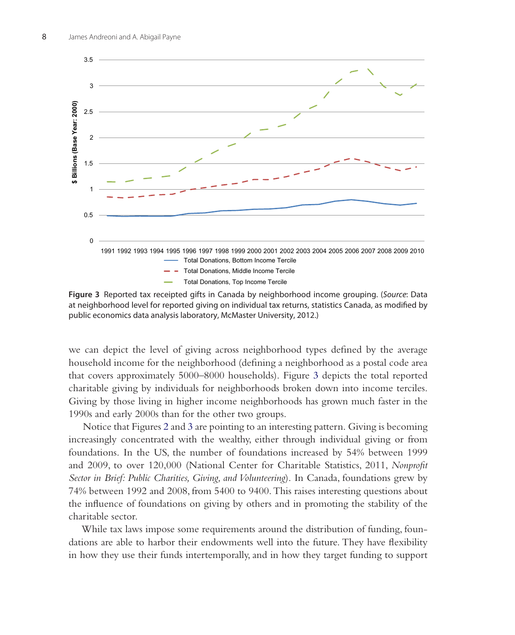

<span id="page-7-0"></span>**Figure 3** Reported tax receipted gifts in Canada by neighborhood income grouping. (*Source*: Data at neighborhood level for reported giving on individual tax returns, statistics Canada, as modified by public economics data analysis laboratory, McMaster University, 2012.)

we can depict the level of giving across neighborhood types defined by the average household income for the neighborhood (defining a neighborhood as a postal code area that covers approximately 5000–8000 households). Figure [3](#page-7-0) depicts the total reported charitable giving by individuals for neighborhoods broken down into income terciles. Giving by those living in higher income neighborhoods has grown much faster in the 1990s and early 2000s than for the other two groups.

Notice that Figures [2](#page-6-1) and [3](#page-7-0) are pointing to an interesting pattern. Giving is becoming increasingly concentrated with the wealthy, either through individual giving or from foundations. In the US, the number of foundations increased by 54% between 1999 and 2009, to over 120,000 (National Center for Charitable Statistics, 2011, *Nonprofit Sector in Brief: Public Charities, Giving, and Volunteering*). In Canada, foundations grew by 74% between 1992 and 2008, from 5400 to 9400. This raises interesting questions about the influence of foundations on giving by others and in promoting the stability of the charitable sector.

While tax laws impose some requirements around the distribution of funding, foundations are able to harbor their endowments well into the future. They have flexibility in how they use their funds intertemporally, and in how they target funding to support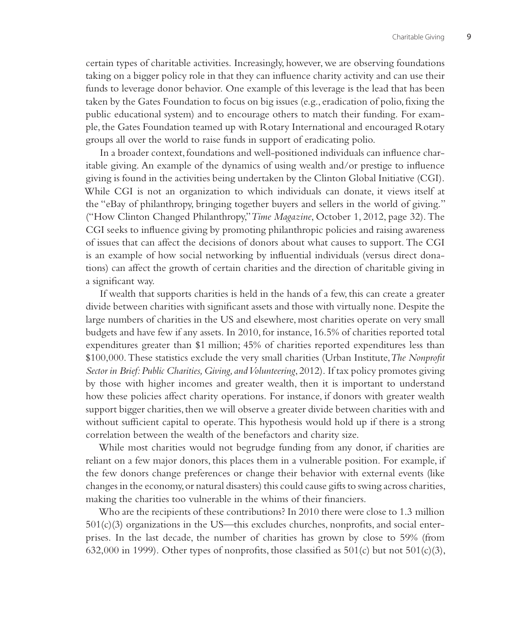certain types of charitable activities. Increasingly, however, we are observing foundations taking on a bigger policy role in that they can influence charity activity and can use their funds to leverage donor behavior. One example of this leverage is the lead that has been taken by the Gates Foundation to focus on big issues (e.g., eradication of polio, fixing the public educational system) and to encourage others to match their funding. For example, the Gates Foundation teamed up with Rotary International and encouraged Rotary groups all over the world to raise funds in support of eradicating polio.

In a broader context, foundations and well-positioned individuals can influence charitable giving. An example of the dynamics of using wealth and/or prestige to influence giving is found in the activities being undertaken by the Clinton Global Initiative (CGI). While CGI is not an organization to which individuals can donate, it views itself at the "eBay of philanthropy, bringing together buyers and sellers in the world of giving." ("How Clinton Changed Philanthropy,"*Time Magazine*, October 1, 2012, page 32). The CGI seeks to influence giving by promoting philanthropic policies and raising awareness of issues that can affect the decisions of donors about what causes to support. The CGI is an example of how social networking by influential individuals (versus direct donations) can affect the growth of certain charities and the direction of charitable giving in a significant way.

If wealth that supports charities is held in the hands of a few, this can create a greater divide between charities with significant assets and those with virtually none. Despite the large numbers of charities in the US and elsewhere, most charities operate on very small budgets and have few if any assets. In 2010, for instance, 16.5% of charities reported total expenditures greater than \$1 million; 45% of charities reported expenditures less than \$100,000. These statistics exclude the very small charities (Urban Institute,*The Nonprofit Sector in Brief: Public Charities,Giving, andVolunteering*, 2012). If tax policy promotes giving by those with higher incomes and greater wealth, then it is important to understand how these policies affect charity operations. For instance, if donors with greater wealth support bigger charities, then we will observe a greater divide between charities with and without sufficient capital to operate. This hypothesis would hold up if there is a strong correlation between the wealth of the benefactors and charity size.

While most charities would not begrudge funding from any donor, if charities are reliant on a few major donors, this places them in a vulnerable position. For example, if the few donors change preferences or change their behavior with external events (like changes in the economy,or natural disasters) this could cause gifts to swing across charities, making the charities too vulnerable in the whims of their financiers.

Who are the recipients of these contributions? In 2010 there were close to 1.3 million  $501(c)(3)$  organizations in the US—this excludes churches, nonprofits, and social enterprises. In the last decade, the number of charities has grown by close to 59% (from 632,000 in 1999). Other types of nonprofits, those classified as  $501(c)$  but not  $501(c)(3)$ ,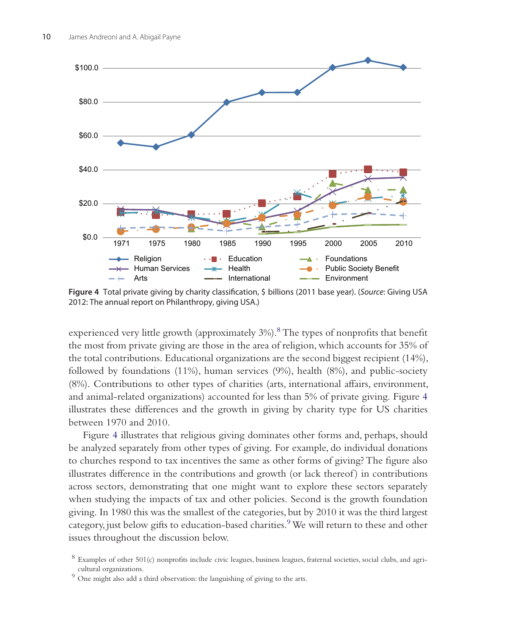

<span id="page-9-1"></span>**Figure 4** Total private giving by charity classification, \$ billions (2011 base year). (*Source*: Giving USA 2012: The annual report on Philanthropy, giving USA.)

experienced very little growth (approximately  $3\%$ ).<sup>8</sup> The types of nonprofits that benefit the most from private giving are those in the area of religion, which accounts for 35% of the total contributions. Educational organizations are the second biggest recipient (14%), followed by foundations (11%), human services (9%), health (8%), and public-society (8%). Contributions to other types of charities (arts, international affairs, environment, and animal-related organizations) accounted for less than 5% of private giving. Figure [4](#page-9-1) illustrates these differences and the growth in giving by charity type for US charities between 1970 and 2010.

Figure [4](#page-9-1) illustrates that religious giving dominates other forms and, perhaps, should be analyzed separately from other types of giving. For example, do individual donations to churches respond to tax incentives the same as other forms of giving? The figure also illustrates difference in the contributions and growth (or lack thereof) in contributions across sectors, demonstrating that one might want to explore these sectors separately when studying the impacts of tax and other policies. Second is the growth foundation giving. In 1980 this was the smallest of the categories, but by 2010 it was the third largest category, just below gifts to education-based charities.<sup>9</sup> We will return to these and other issues throughout the discussion below.

<span id="page-9-0"></span><sup>8</sup> Examples of other 501(c) nonprofits include civic leagues, business leagues, fraternal societies, social clubs, and agricultural organizations.

<span id="page-9-2"></span> $9$  One might also add a third observation: the languishing of giving to the arts.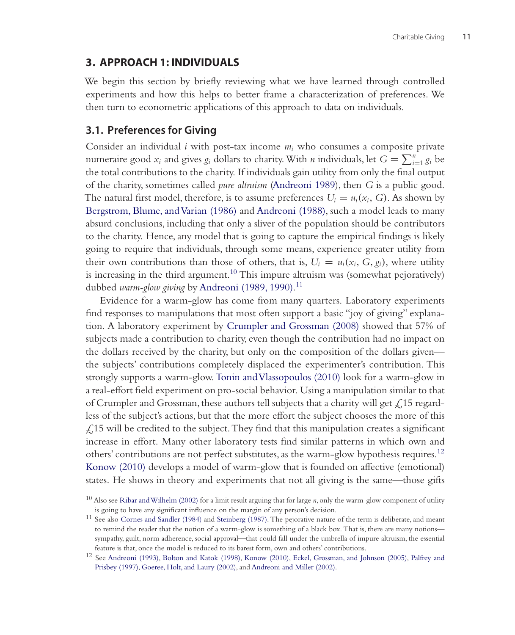## <span id="page-10-0"></span>**3. APPROACH 1: INDIVIDUALS**

We begin this section by briefly reviewing what we have learned through controlled experiments and how this helps to better frame a characterization of preferences. We then turn to econometric applications of this approach to data on individuals.

## <span id="page-10-1"></span>**3.1. Preferences for Giving**

Consider an individual  $i$  with post-tax income  $m_i$  who consumes a composite private numeraire good  $x_i$  and gives  $g_i$  dollars to charity. With *n* individuals, let  $G = \sum_{i=1}^n g_i$  be the total contributions to the charity. If individuals gain utility from only the final output of the charity, sometimes called *pure altruism* [\(Andreoni 1989\)](#page-44-2), then *G* is a public good. The natural first model, therefore, is to assume preferences  $U_i = u_i(x_i, G)$ . As shown by Bergstrom, Blume, and Varian (1986) and [Andreoni \(1988\),](#page-44-3) such a model leads to many absurd conclusions, including that only a sliver of the population should be contributors to the charity. Hence, any model that is going to capture the empirical findings is likely going to require that individuals, through some means, experience greater utility from their own contributions than those of others, that is,  $U_i = u_i(x_i, G, g_i)$ , where utility is increasing in the third argument.<sup>10</sup> This impure altruism was (somewhat pejoratively) dubbed *warm-glow giving* by Andreoni (1989, 1990). [11](#page-10-3)

Evidence for a warm-glow has come from many quarters. Laboratory experiments find responses to manipulations that most often support a basic "joy of giving" explanation. A laboratory experiment by [Crumpler and Grossman \(2008\)](#page-46-0) showed that 57% of subjects made a contribution to charity, even though the contribution had no impact on the dollars received by the charity, but only on the composition of the dollars given the subjects' contributions completely displaced the experimenter's contribution. This strongly supports a warm-glow.[Tonin andVlassopoulos \(2010\)](#page-49-2) look for a warm-glow in a real-effort field experiment on pro-social behavior. Using a manipulation similar to that of Crumpler and Grossman, these authors tell subjects that a charity will get  $\mathcal{L}$  15 regardless of the subject's actions, but that the more effort the subject chooses the more of this  $\angle$ ,15 will be credited to the subject. They find that this manipulation creates a significant increase in effort. Many other laboratory tests find similar patterns in which own and others' contributions are not perfect substitutes, as the warm-glow hypothesis requires.<sup>12</sup> [Konow \(2010\)](#page-47-2) develops a model of warm-glow that is founded on affective (emotional) states. He shows in theory and experiments that not all giving is the same—those gifts

<span id="page-10-2"></span><sup>10</sup> Also see [Ribar andWilhelm \(2002\)](#page-48-0) for a limit result arguing that for large *n*, only the warm-glow component of utility is going to have any significant influence on the margin of any person's decision.

<span id="page-10-3"></span><sup>&</sup>lt;sup>11</sup> See also [Cornes and Sandler \(1984\)](#page-46-1) and [Steinberg \(1987\).](#page-49-3) The pejorative nature of the term is deliberate, and meant to remind the reader that the notion of a warm-glow is something of a black box. That is, there are many notions sympathy, guilt, norm adherence, social approval—that could fall under the umbrella of impure altruism, the essential feature is that, once the model is reduced to its barest form, own and others' contributions.

<span id="page-10-4"></span><sup>12</sup> See [Andreoni \(1993\),](#page-44-4) [Bolton and Katok \(1998\),](#page-45-7) [Konow \(2010\),](#page-47-2) [Eckel, Grossman, and Johnson \(2005\),](#page-46-2) Palfrey and Prisbey (1997), [Goeree, Holt, and Laury \(2002\),](#page-47-3) and [Andreoni and Miller \(2002\).](#page-45-8)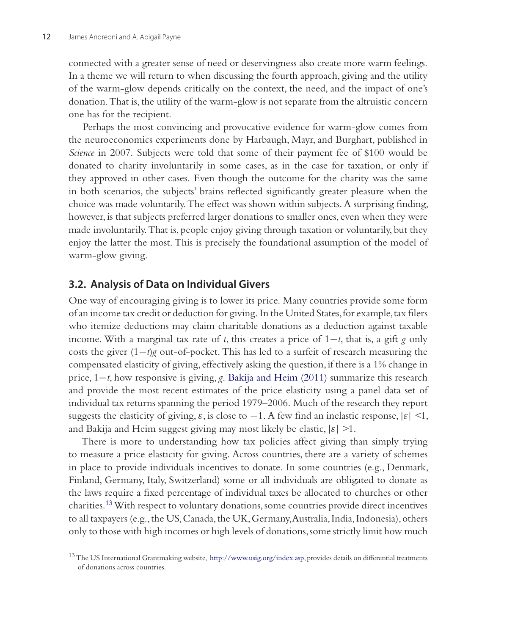connected with a greater sense of need or deservingness also create more warm feelings. In a theme we will return to when discussing the fourth approach, giving and the utility of the warm-glow depends critically on the context, the need, and the impact of one's donation.That is,the utility of the warm-glow is not separate from the altruistic concern one has for the recipient.

Perhaps the most convincing and provocative evidence for warm-glow comes from the neuroeconomics experiments done by Harbaugh, Mayr, and Burghart, published in *Science* in 2007. Subjects were told that some of their payment fee of \$100 would be donated to charity involuntarily in some cases, as in the case for taxation, or only if they approved in other cases. Even though the outcome for the charity was the same in both scenarios, the subjects' brains reflected significantly greater pleasure when the choice was made voluntarily.The effect was shown within subjects. A surprising finding, however, is that subjects preferred larger donations to smaller ones, even when they were made involuntarily.That is, people enjoy giving through taxation or voluntarily, but they enjoy the latter the most. This is precisely the foundational assumption of the model of warm-glow giving.

## <span id="page-11-0"></span>**3.2. Analysis of Data on Individual Givers**

One way of encouraging giving is to lower its price. Many countries provide some form of an income tax credit or deduction for giving. In the United States,for example,tax filers who itemize deductions may claim charitable donations as a deduction against taxable income. With a marginal tax rate of *t*, this creates a price of 1−*t*, that is, a gift *g* only costs the giver (1−*t*)*g* out-of-pocket. This has led to a surfeit of research measuring the compensated elasticity of giving, effectively asking the question,if there is a 1% change in price, 1−*t*, how responsive is giving,*g*. [Bakija and Heim \(2011\)](#page-45-9) summarize this research and provide the most recent estimates of the price elasticity using a panel data set of individual tax returns spanning the period 1979–2006. Much of the research they report suggests the elasticity of giving,  $\varepsilon$ , is close to  $-1$ . A few find an inelastic response,  $|\varepsilon| < 1$ , and Bakija and Heim suggest giving may most likely be elastic, |ε| *>*1.

There is more to understanding how tax policies affect giving than simply trying to measure a price elasticity for giving. Across countries, there are a variety of schemes in place to provide individuals incentives to donate. In some countries (e.g., Denmark, Finland, Germany, Italy, Switzerland) some or all individuals are obligated to donate as the laws require a fixed percentage of individual taxes be allocated to churches or other charities[.13](#page-11-1)With respect to voluntary donations, some countries provide direct incentives to all taxpayers (e.g., the US, Canada, the UK, Germany, Australia, India, Indonesia), others only to those with high incomes or high levels of donations, some strictly limit how much

<span id="page-11-1"></span><sup>13</sup>The US International Grantmaking website, [http://www.usig.org/index.asp,](http://www.usig.org/index.asp) provides details on differential treatments of donations across countries.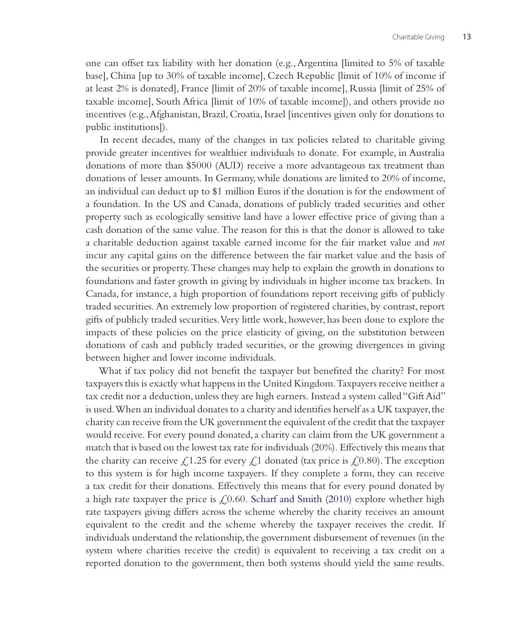one can offset tax liability with her donation (e.g., Argentina [limited to 5% of taxable base], China [up to 30% of taxable income], Czech Republic [limit of 10% of income if at least 2% is donated], France [limit of 20% of taxable income], Russia [limit of 25% of taxable income], South Africa [limit of 10% of taxable income]), and others provide no incentives (e.g.,Afghanistan, Brazil, Croatia, Israel [incentives given only for donations to public institutions]).

In recent decades, many of the changes in tax policies related to charitable giving provide greater incentives for wealthier individuals to donate. For example, in Australia donations of more than \$5000 (AUD) receive a more advantageous tax treatment than donations of lesser amounts. In Germany, while donations are limited to 20% of income, an individual can deduct up to \$1 million Euros if the donation is for the endowment of a foundation. In the US and Canada, donations of publicly traded securities and other property such as ecologically sensitive land have a lower effective price of giving than a cash donation of the same value. The reason for this is that the donor is allowed to take a charitable deduction against taxable earned income for the fair market value and *not* incur any capital gains on the difference between the fair market value and the basis of the securities or property.These changes may help to explain the growth in donations to foundations and faster growth in giving by individuals in higher income tax brackets. In Canada, for instance, a high proportion of foundations report receiving gifts of publicly traded securities. An extremely low proportion of registered charities, by contrast, report gifts of publicly traded securities.Very little work, however, has been done to explore the impacts of these policies on the price elasticity of giving, on the substitution between donations of cash and publicly traded securities, or the growing divergences in giving between higher and lower income individuals.

What if tax policy did not benefit the taxpayer but benefited the charity? For most taxpayers this is exactly what happens in the United Kingdom.Taxpayers receive neither a tax credit nor a deduction, unless they are high earners. Instead a system called "Gift Aid" is used.When an individual donates to a charity and identifies herself as a UK taxpayer,the charity can receive from the UK government the equivalent of the credit that the taxpayer would receive. For every pound donated, a charity can claim from the UK government a match that is based on the lowest tax rate for individuals (20%). Effectively this means that the charity can receive  $\mathcal{L}$ 1.25 for every  $\mathcal{L}$ 1 donated (tax price is  $\mathcal{L}$ ).80). The exception to this system is for high income taxpayers. If they complete a form, they can receive a tax credit for their donations. Effectively this means that for every pound donated by a high rate taxpayer the price is  $\mathcal{L}0.60$ . [Scharf and Smith \(2010\)](#page-48-1) explore whether high rate taxpayers giving differs across the scheme whereby the charity receives an amount equivalent to the credit and the scheme whereby the taxpayer receives the credit. If individuals understand the relationship, the government disbursement of revenues (in the system where charities receive the credit) is equivalent to receiving a tax credit on a reported donation to the government, then both systems should yield the same results.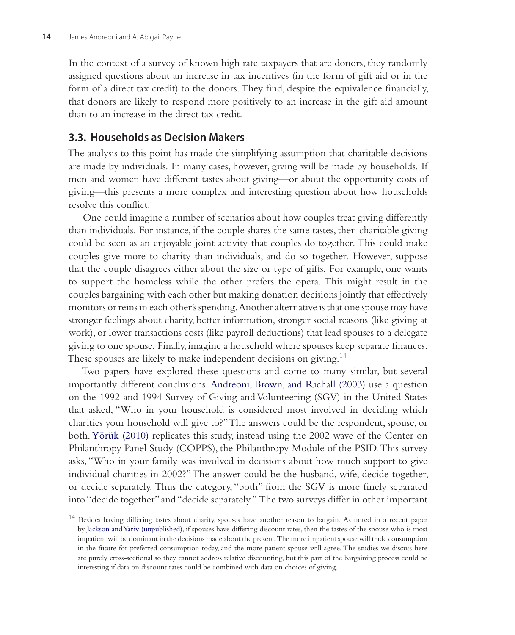In the context of a survey of known high rate taxpayers that are donors, they randomly assigned questions about an increase in tax incentives (in the form of gift aid or in the form of a direct tax credit) to the donors. They find, despite the equivalence financially, that donors are likely to respond more positively to an increase in the gift aid amount than to an increase in the direct tax credit.

## <span id="page-13-0"></span>**3.3. Households as Decision Makers**

The analysis to this point has made the simplifying assumption that charitable decisions are made by individuals. In many cases, however, giving will be made by households. If men and women have different tastes about giving—or about the opportunity costs of giving—this presents a more complex and interesting question about how households resolve this conflict.

One could imagine a number of scenarios about how couples treat giving differently than individuals. For instance, if the couple shares the same tastes, then charitable giving could be seen as an enjoyable joint activity that couples do together. This could make couples give more to charity than individuals, and do so together. However, suppose that the couple disagrees either about the size or type of gifts. For example, one wants to support the homeless while the other prefers the opera. This might result in the couples bargaining with each other but making donation decisions jointly that effectively monitors or reins in each other's spending.Another alternative is that one spouse may have stronger feelings about charity, better information, stronger social reasons (like giving at work), or lower transactions costs (like payroll deductions) that lead spouses to a delegate giving to one spouse. Finally, imagine a household where spouses keep separate finances. These spouses are likely to make independent decisions on giving.<sup>[14](#page-13-1)</sup>

Two papers have explored these questions and come to many similar, but several importantly different conclusions. [Andreoni, Brown, and Richall \(2003\)](#page-45-10) use a question on the 1992 and 1994 Survey of Giving and Volunteering (SGV) in the United States that asked, "Who in your household is considered most involved in deciding which charities your household will give to?"The answers could be the respondent, spouse, or both. [Yörük \(2010\)](#page-49-4) replicates this study, instead using the 2002 wave of the Center on Philanthropy Panel Study (COPPS), the Philanthropy Module of the PSID. This survey asks, "Who in your family was involved in decisions about how much support to give individual charities in 2002?"The answer could be the husband, wife, decide together, or decide separately. Thus the category, "both" from the SGV is more finely separated into "decide together" and "decide separately." The two surveys differ in other important

<span id="page-13-1"></span><sup>14</sup> Besides having differing tastes about charity, spouses have another reason to bargain. As noted in a recent paper by [Jackson andYariv \(unpublished\),](#page-47-4) if spouses have differing discount rates, then the tastes of the spouse who is most impatient will be dominant in the decisions made about the present.The more impatient spouse will trade consumption in the future for preferred consumption today, and the more patient spouse will agree. The studies we discuss here are purely cross-sectional so they cannot address relative discounting, but this part of the bargaining process could be interesting if data on discount rates could be combined with data on choices of giving.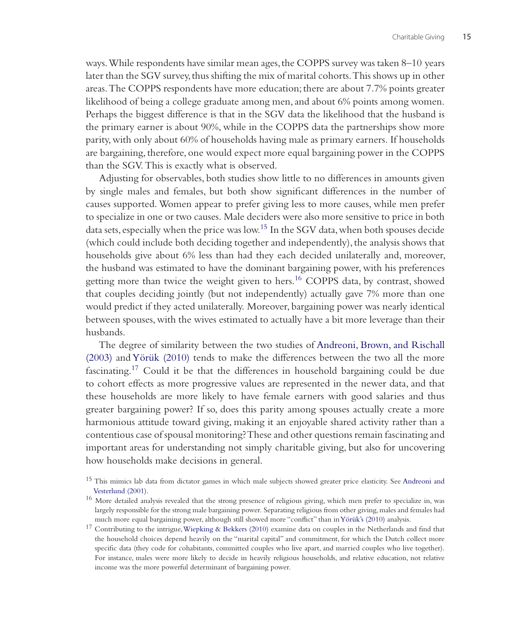ways.While respondents have similar mean ages,the COPPS survey was taken 8–10 years later than the SGV survey, thus shifting the mix of marital cohorts. This shows up in other areas.The COPPS respondents have more education;there are about 7.7% points greater likelihood of being a college graduate among men, and about 6% points among women. Perhaps the biggest difference is that in the SGV data the likelihood that the husband is the primary earner is about 90%, while in the COPPS data the partnerships show more parity, with only about 60% of households having male as primary earners. If households are bargaining, therefore, one would expect more equal bargaining power in the COPPS than the SGV. This is exactly what is observed.

Adjusting for observables, both studies show little to no differences in amounts given by single males and females, but both show significant differences in the number of causes supported. Women appear to prefer giving less to more causes, while men prefer to specialize in one or two causes. Male deciders were also more sensitive to price in both data sets, especially when the price was low.<sup>15</sup> In the SGV data, when both spouses decide (which could include both deciding together and independently), the analysis shows that households give about 6% less than had they each decided unilaterally and, moreover, the husband was estimated to have the dominant bargaining power, with his preferences getting more than twice the weight given to hers.<sup>16</sup> COPPS data, by contrast, showed that couples deciding jointly (but not independently) actually gave 7% more than one would predict if they acted unilaterally. Moreover, bargaining power was nearly identical between spouses, with the wives estimated to actually have a bit more leverage than their husbands.

The degree of similarity between the two studies of Andreoni, Brown, and Rischall (2003) and [Yörük \(2010\)](#page-49-4) tends to make the differences between the two all the more fascinating.[17](#page-14-2) Could it be that the differences in household bargaining could be due to cohort effects as more progressive values are represented in the newer data, and that these households are more likely to have female earners with good salaries and thus greater bargaining power? If so, does this parity among spouses actually create a more harmonious attitude toward giving, making it an enjoyable shared activity rather than a contentious case of spousal monitoring?These and other questions remain fascinating and important areas for understanding not simply charitable giving, but also for uncovering how households make decisions in general.

<span id="page-14-0"></span><sup>&</sup>lt;sup>15</sup> This mimics lab data from dictator games in which male subjects showed greater price elasticity. See Andreoni and Vesterlund (2001).

<span id="page-14-1"></span><sup>16</sup> More detailed analysis revealed that the strong presence of religious giving, which men prefer to specialize in, was largely responsible for the strong male bargaining power. Separating religious from other giving, males and females had much more equal bargaining power, although still showed more "conflict" than in[Yörük's \(2010\)](#page-49-4) analysis.

<span id="page-14-2"></span><sup>&</sup>lt;sup>17</sup> Contributing to the intrigue, [Wiepking & Bekkers \(2010\)](#page-49-5) examine data on couples in the Netherlands and find that the household choices depend heavily on the "marital capital" and commitment, for which the Dutch collect more specific data (they code for cohabitants, committed couples who live apart, and married couples who live together). For instance, males were more likely to decide in heavily religious households, and relative education, not relative income was the more powerful determinant of bargaining power.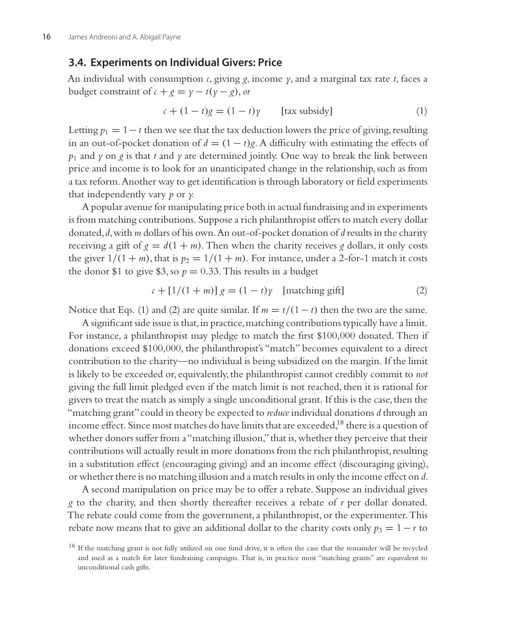## <span id="page-15-0"></span>**3.4. Experiments on Individual Givers: Price**

An individual with consumption  $c$ , giving  $g$ , income  $\gamma$ , and a marginal tax rate *t*, faces a budget constraint of  $c + g = \gamma - t(\gamma - g)$ , or

<span id="page-15-1"></span>
$$
c + (1 - t)g = (1 - t)\gamma \qquad [tax \text{ subsidy}] \tag{1}
$$

Letting  $p_1 = 1 - t$  then we see that the tax deduction lowers the price of giving, resulting in an out-of-pocket donation of  $d = (1 - t)g$ . A difficulty with estimating the effects of  $p_1$  and  $\gamma$  on  $g$  is that  $t$  and  $\gamma$  are determined jointly. One way to break the link between price and income is to look for an unanticipated change in the relationship, such as from a tax reform.Another way to get identification is through laboratory or field experiments that independently vary *p* or *y.*

A popular avenue for manipulating price both in actual fundraising and in experiments is from matching contributions. Suppose a rich philanthropist offers to match every dollar donated,*d*,with *m* dollars of his own.An out-of-pocket donation of *d* results in the charity receiving a gift of  $g = d(1 + m)$ . Then when the charity receives g dollars, it only costs the giver  $1/(1 + m)$ , that is  $p_2 = 1/(1 + m)$ . For instance, under a 2-for-1 match it costs the donor \$1 to give \$3, so  $p = 0.33$ . This results in a budget

<span id="page-15-2"></span>
$$
c + [1/(1 + m)] g = (1 - t)\gamma \quad \text{[matching gift]}
$$
 (2)

Notice that Eqs. [\(1\)](#page-15-1) and [\(2\)](#page-15-2) are quite similar. If  $m = t/(1-t)$  then the two are the same.

A significant side issue is that,in practice,matching contributions typically have a limit. For instance, a philanthropist may pledge to match the first \$100,000 donated. Then if donations exceed \$100,000, the philanthropist's "match" becomes equivalent to a direct contribution to the charity—no individual is being subsidized on the margin. If the limit is likely to be exceeded or, equivalently,the philanthropist cannot credibly commit to *not* giving the full limit pledged even if the match limit is not reached, then it is rational for givers to treat the match as simply a single unconditional grant. If this is the case,then the "matching grant" could in theory be expected to *reduce* individual donations *d* through an income effect. Since most matches do have limits that are exceeded,<sup>18</sup> there is a question of whether donors suffer from a "matching illusion," that is, whether they perceive that their contributions will actually result in more donations from the rich philanthropist, resulting in a substitution effect (encouraging giving) and an income effect (discouraging giving), or whether there is no matching illusion and a match results in only the income effect on *d.*

A second manipulation on price may be to offer a rebate. Suppose an individual gives *g* to the charity, and then shortly thereafter receives a rebate of *r* per dollar donated. The rebate could come from the government, a philanthropist, or the experimenter.This rebate now means that to give an additional dollar to the charity costs only  $p_3 = 1 - r$  to

<span id="page-15-3"></span><sup>&</sup>lt;sup>18</sup> If the matching grant is not fully utilized on one fund drive, it is often the case that the remainder will be recycled and used as a match for later fundraising campaigns. That is, in practice most "matching grants" are equivalent to unconditional cash gifts.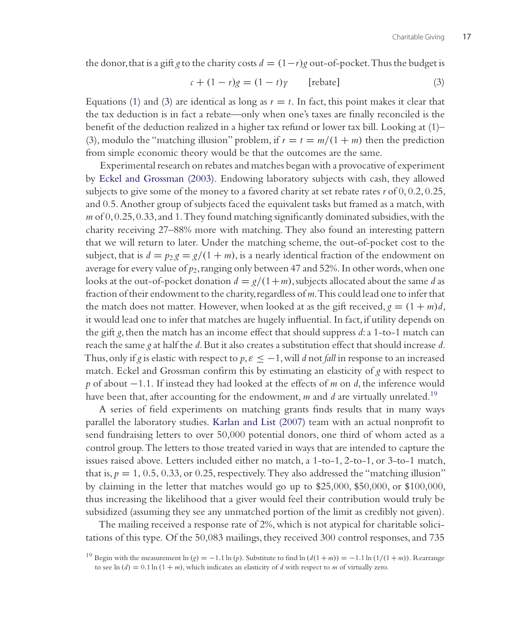the donor, that is a gift *g* to the charity costs  $d = (1 - r)g$  out-of-pocket. Thus the budget is

<span id="page-16-0"></span>
$$
c + (1 - r)g = (1 - t)\gamma
$$
 [rebate] (3)

Equations [\(1\)](#page-15-1) and [\(3\)](#page-16-0) are identical as long as  $r = t$ . In fact, this point makes it clear that the tax deduction is in fact a rebate—only when one's taxes are finally reconciled is the benefit of the deduction realized in a higher tax refund or lower tax bill. Looking at (1)– (3), modulo the "matching illusion" problem, if  $r = t = m/(1 + m)$  then the prediction from simple economic theory would be that the outcomes are the same.

Experimental research on rebates and matches began with a provocative of experiment by [Eckel and Grossman \(2003\).](#page-46-3) Endowing laboratory subjects with cash, they allowed subjects to give some of the money to a favored charity at set rebate rates *r* of 0, 0.2, 0.25, and 0.5. Another group of subjects faced the equivalent tasks but framed as a match, with *m* of 0,0.25,0.33, and 1. They found matching significantly dominated subsidies, with the charity receiving 27–88% more with matching. They also found an interesting pattern that we will return to later. Under the matching scheme, the out-of-pocket cost to the subject, that is  $d = p_2 g = g/(1 + m)$ , is a nearly identical fraction of the endowment on average for every value of  $p_2$ , ranging only between 47 and 52%. In other words, when one looks at the out-of-pocket donation  $d = g/(1+m)$ , subjects allocated about the same *d* as fraction of their endowment to the charity, regardless of m. This could lead one to infer that the match does not matter. However, when looked at as the gift received,  $g = (1 + m)d$ , it would lead one to infer that matches are hugely influential. In fact, if utility depends on the gift  $g$ , then the match has an income effect that should suppress  $d: a 1-to-1$  match can reach the same *g* at half the *d.*But it also creates a substitution effect that should increase *d.* Thus, only if *g* is elastic with respect to *p*,  $\varepsilon \leq -1$ , will *d* not *fall* in response to an increased match. Eckel and Grossman confirm this by estimating an elasticity of *g* with respect to *p* of about −1.1. If instead they had looked at the effects of *m* on *d*, the inference would have been that, after accounting for the endowment, *m* and *d* are virtually unrelated.<sup>19</sup>

A series of field experiments on matching grants finds results that in many ways parallel the laboratory studies. [Karlan and List \(2007\)](#page-47-5) team with an actual nonprofit to send fundraising letters to over 50,000 potential donors, one third of whom acted as a control group.The letters to those treated varied in ways that are intended to capture the issues raised above. Letters included either no match, a 1-to-1, 2-to-1, or 3-to-1 match, that is,  $p = 1, 0.5, 0.33$ , or 0.25, respectively. They also addressed the "matching illusion" by claiming in the letter that matches would go up to \$25,000, \$50,000, or \$100,000, thus increasing the likelihood that a giver would feel their contribution would truly be subsidized (assuming they see any unmatched portion of the limit as credibly not given).

The mailing received a response rate of 2%, which is not atypical for charitable solicitations of this type. Of the 50,083 mailings, they received 300 control responses, and 735

<span id="page-16-1"></span><sup>&</sup>lt;sup>19</sup> Begin with the measurement  $\ln (g) = -1.1 \ln (p)$ . Substitute to find  $\ln (d(1 + m)) = -1.1 \ln (1/(1 + m))$ . Rearrange to see  $\ln(d) = 0.1 \ln(1 + m)$ , which indicates an elasticity of *d* with respect to *m* of virtually zero.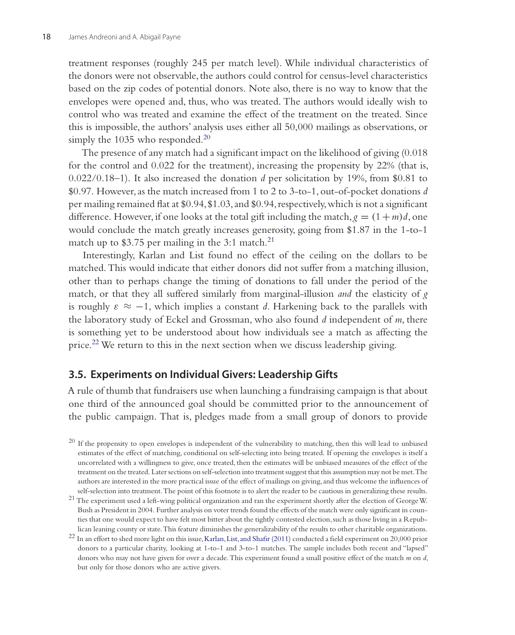treatment responses (roughly 245 per match level). While individual characteristics of the donors were not observable, the authors could control for census-level characteristics based on the zip codes of potential donors. Note also, there is no way to know that the envelopes were opened and, thus, who was treated. The authors would ideally wish to control who was treated and examine the effect of the treatment on the treated. Since this is impossible, the authors' analysis uses either all 50,000 mailings as observations, or simply the 1035 who responded. $20$ 

The presence of any match had a significant impact on the likelihood of giving (0.018 for the control and 0.022 for the treatment), increasing the propensity by 22% (that is, 0.022/0.18–1). It also increased the donation *d* per solicitation by 19%, from \$0.81 to \$0.97. However, as the match increased from 1 to 2 to 3-to-1, out-of-pocket donations *d* per mailing remained flat at \$0.94,\$1.03, and \$0.94, respectively,which is not a significant difference. However, if one looks at the total gift including the match,  $g = (1+m)d$ , one would conclude the match greatly increases generosity, going from \$1.87 in the 1-to-1 match up to \$3.75 per mailing in the 3:1 match.<sup>21</sup>

Interestingly, Karlan and List found no effect of the ceiling on the dollars to be matched. This would indicate that either donors did not suffer from a matching illusion, other than to perhaps change the timing of donations to fall under the period of the match, or that they all suffered similarly from marginal-illusion *and* the elasticity of *g* is roughly  $\varepsilon \approx -1$ , which implies a constant *d*. Harkening back to the parallels with the laboratory study of Eckel and Grossman, who also found *d* independent of *m*, there is something yet to be understood about how individuals see a match as affecting the price.<sup>22</sup> We return to this in the next section when we discuss leadership giving.

## <span id="page-17-0"></span>**3.5. Experiments on Individual Givers: Leadership Gifts**

A rule of thumb that fundraisers use when launching a fundraising campaign is that about one third of the announced goal should be committed prior to the announcement of the public campaign. That is, pledges made from a small group of donors to provide

<span id="page-17-1"></span><sup>&</sup>lt;sup>20</sup> If the propensity to open envelopes is independent of the vulnerability to matching, then this will lead to unbiased estimates of the effect of matching, conditional on self-selecting into being treated. If opening the envelopes is itself a uncorrelated with a willingness to give, once treated, then the estimates will be unbiased measures of the effect of the treatment on the treated. Later sections on self-selection into treatment suggest that this assumption may not be met.The authors are interested in the more practical issue of the effect of mailings on giving, and thus welcome the influences of self-selection into treatment.The point of this footnote is to alert the reader to be cautious in generalizing these results.

<span id="page-17-2"></span><sup>&</sup>lt;sup>21</sup> The experiment used a left-wing political organization and ran the experiment shortly after the election of George W. Bush as President in 2004. Further analysis on voter trends found the effects of the match were only significant in counties that one would expect to have felt most bitter about the tightly contested election, such as those living in a Republican leaning county or state.This feature diminishes the generalizability of the results to other charitable organizations.

<span id="page-17-3"></span> $^{22}$  In an effort to shed more light on this issue, Karlan, List, and Shafir (2011) conducted a field experiment on 20,000 prior donors to a particular charity, looking at 1-to-1 and 3-to-1 matches. The sample includes both recent and "lapsed" donors who may not have given for over a decade. This experiment found a small positive effect of the match *m* on *d*, but only for those donors who are active givers.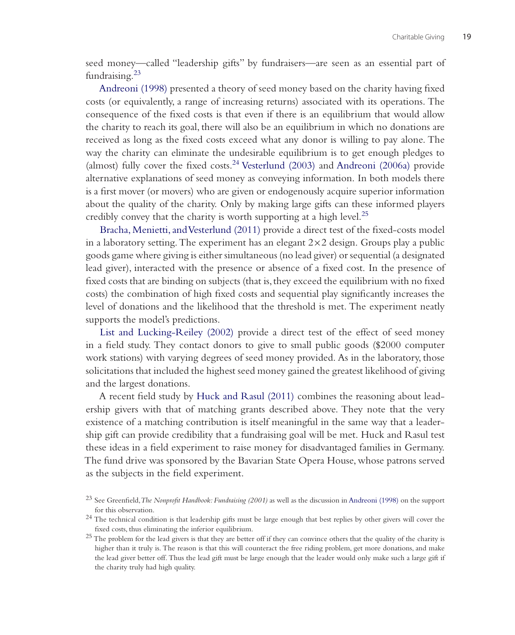seed money—called "leadership gifts" by fundraisers—are seen as an essential part of fundraising.[23](#page-18-0)

[Andreoni \(1998\)](#page-44-5) presented a theory of seed money based on the charity having fixed costs (or equivalently, a range of increasing returns) associated with its operations. The consequence of the fixed costs is that even if there is an equilibrium that would allow the charity to reach its goal, there will also be an equilibrium in which no donations are received as long as the fixed costs exceed what any donor is willing to pay alone. The way the charity can eliminate the undesirable equilibrium is to get enough pledges to (almost) fully cover the fixed costs.<sup>24</sup> [Vesterlund \(2003\)](#page-49-6) and [Andreoni \(2006a\)](#page-44-6) provide alternative explanations of seed money as conveying information. In both models there is a first mover (or movers) who are given or endogenously acquire superior information about the quality of the charity. Only by making large gifts can these informed players credibly convey that the charity is worth supporting at a high level. $25$ 

[Bracha, Menietti, andVesterlund \(2011\)](#page-45-11) provide a direct test of the fixed-costs model in a laboratory setting. The experiment has an elegant  $2\times 2$  design. Groups play a public goods game where giving is either simultaneous (no lead giver) or sequential (a designated lead giver), interacted with the presence or absence of a fixed cost. In the presence of fixed costs that are binding on subjects (that is,they exceed the equilibrium with no fixed costs) the combination of high fixed costs and sequential play significantly increases the level of donations and the likelihood that the threshold is met. The experiment neatly supports the model's predictions.

[List and Lucking-Reiley \(2002\)](#page-47-7) provide a direct test of the effect of seed money in a field study. They contact donors to give to small public goods (\$2000 computer work stations) with varying degrees of seed money provided. As in the laboratory, those solicitations that included the highest seed money gained the greatest likelihood of giving and the largest donations.

A recent field study by [Huck and Rasul \(2011\)](#page-47-8) combines the reasoning about leadership givers with that of matching grants described above. They note that the very existence of a matching contribution is itself meaningful in the same way that a leadership gift can provide credibility that a fundraising goal will be met. Huck and Rasul test these ideas in a field experiment to raise money for disadvantaged families in Germany. The fund drive was sponsored by the Bavarian State Opera House, whose patrons served as the subjects in the field experiment.

<span id="page-18-0"></span><sup>23</sup> See Greenfield,*The Nonprofit Handbook: Fundraising (2001)* as well as the discussion in [Andreoni \(1998\)](#page-44-5) on the support for this observation.

<sup>&</sup>lt;sup>24</sup> The technical condition is that leadership gifts must be large enough that best replies by other givers will cover the fixed costs, thus eliminating the inferior equilibrium.

<span id="page-18-2"></span><span id="page-18-1"></span><sup>&</sup>lt;sup>25</sup> The problem for the lead givers is that they are better off if they can convince others that the quality of the charity is higher than it truly is. The reason is that this will counteract the free riding problem, get more donations, and make the lead giver better off. Thus the lead gift must be large enough that the leader would only make such a large gift if the charity truly had high quality.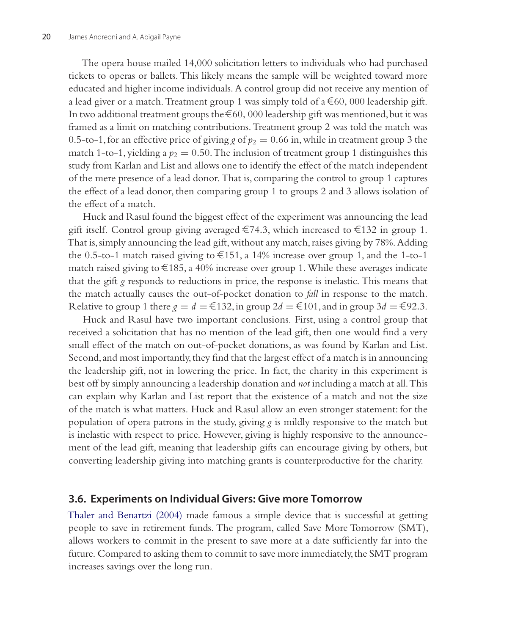The opera house mailed 14,000 solicitation letters to individuals who had purchased tickets to operas or ballets. This likely means the sample will be weighted toward more educated and higher income individuals. A control group did not receive any mention of a lead giver or a match. Treatment group 1 was simply told of  $a \in 60$ , 000 leadership gift. In two additional treatment groups the  $\in 60,000$  leadership gift was mentioned, but it was framed as a limit on matching contributions. Treatment group 2 was told the match was 0.5-to-1, for an effective price of giving *g* of  $p_2 = 0.66$  in, while in treatment group 3 the match 1-to-1, yielding a  $p_2 = 0.50$ . The inclusion of treatment group 1 distinguishes this study from Karlan and List and allows one to identify the effect of the match independent of the mere presence of a lead donor.That is, comparing the control to group 1 captures the effect of a lead donor, then comparing group 1 to groups 2 and 3 allows isolation of the effect of a match.

Huck and Rasul found the biggest effect of the experiment was announcing the lead gift itself. Control group giving averaged  $\in 74.3$ , which increased to  $\in 132$  in group 1. That is, simply announcing the lead gift, without any match, raises giving by 78%. Adding the 0.5-to-1 match raised giving to  $\text{\textsterling}151$ , a 14% increase over group 1, and the 1-to-1 match raised giving to  $\text{\textsterling}185$ , a 40% increase over group 1. While these averages indicate that the gift *g* responds to reductions in price, the response is inelastic. This means that the match actually causes the out-of-pocket donation to *fall* in response to the match. Relative to group 1 there  $g = d = \text{\textsterling}132$ , in group  $2d = \text{\textsterling}101$ , and in group  $3d = \text{\textsterling}92.3$ .

Huck and Rasul have two important conclusions. First, using a control group that received a solicitation that has no mention of the lead gift, then one would find a very small effect of the match on out-of-pocket donations, as was found by Karlan and List. Second, and most importantly, they find that the largest effect of a match is in announcing the leadership gift, not in lowering the price. In fact, the charity in this experiment is best off by simply announcing a leadership donation and *not* including a match at all.This can explain why Karlan and List report that the existence of a match and not the size of the match is what matters. Huck and Rasul allow an even stronger statement: for the population of opera patrons in the study, giving *g* is mildly responsive to the match but is inelastic with respect to price. However, giving is highly responsive to the announcement of the lead gift, meaning that leadership gifts can encourage giving by others, but converting leadership giving into matching grants is counterproductive for the charity.

## <span id="page-19-0"></span>**3.6. Experiments on Individual Givers: Give more Tomorrow**

[Thaler and Benartzi \(2004\)](#page-49-7) made famous a simple device that is successful at getting people to save in retirement funds. The program, called Save More Tomorrow (SMT), allows workers to commit in the present to save more at a date sufficiently far into the future. Compared to asking them to commit to save more immediately,the SMT program increases savings over the long run.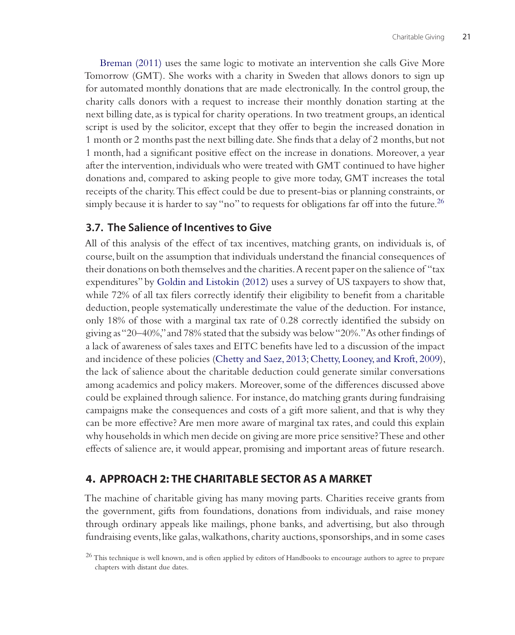[Breman \(2011\)](#page-46-4) uses the same logic to motivate an intervention she calls Give More Tomorrow (GMT). She works with a charity in Sweden that allows donors to sign up for automated monthly donations that are made electronically. In the control group, the charity calls donors with a request to increase their monthly donation starting at the next billing date, as is typical for charity operations. In two treatment groups, an identical script is used by the solicitor, except that they offer to begin the increased donation in 1 month or 2 months past the next billing date. She finds that a delay of 2 months,but not 1 month, had a significant positive effect on the increase in donations. Moreover, a year after the intervention, individuals who were treated with GMT continued to have higher donations and, compared to asking people to give more today, GMT increases the total receipts of the charity.This effect could be due to present-bias or planning constraints, or simply because it is harder to say "no" to requests for obligations far off into the future.<sup>26</sup>

## <span id="page-20-0"></span>**3.7. The Salience of Incentives to Give**

All of this analysis of the effect of tax incentives, matching grants, on individuals is, of course, built on the assumption that individuals understand the financial consequences of their donations on both themselves and the charities.A recent paper on the salience of "tax expenditures" by [Goldin and Listokin \(2012\)](#page-47-9) uses a survey of US taxpayers to show that, while 72% of all tax filers correctly identify their eligibility to benefit from a charitable deduction, people systematically underestimate the value of the deduction. For instance, only 18% of those with a marginal tax rate of 0.28 correctly identified the subsidy on giving as"20–40%,"and 78% stated that the subsidy was below"20%."As other findings of a lack of awareness of sales taxes and EITC benefits have led to a discussion of the impact and incidence of these policies [\(Chetty and Saez, 2013;](#page-46-5) [Chetty, Looney, and Kroft, 2009\)](#page-46-6), the lack of salience about the charitable deduction could generate similar conversations among academics and policy makers. Moreover, some of the differences discussed above could be explained through salience. For instance, do matching grants during fundraising campaigns make the consequences and costs of a gift more salient, and that is why they can be more effective? Are men more aware of marginal tax rates, and could this explain why households in which men decide on giving are more price sensitive?These and other effects of salience are, it would appear, promising and important areas of future research.

## <span id="page-20-1"></span>**4. APPROACH 2: THE CHARITABLE SECTOR AS A MARKET**

The machine of charitable giving has many moving parts. Charities receive grants from the government, gifts from foundations, donations from individuals, and raise money through ordinary appeals like mailings, phone banks, and advertising, but also through fundraising events, like galas, walkathons, charity auctions, sponsorships, and in some cases

<span id="page-20-2"></span><sup>&</sup>lt;sup>26</sup> This technique is well known, and is often applied by editors of Handbooks to encourage authors to agree to prepare chapters with distant due dates.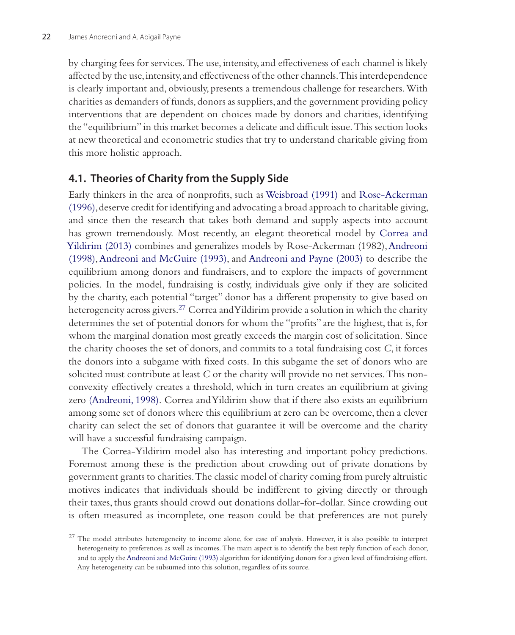by charging fees for services.The use, intensity, and effectiveness of each channel is likely affected by the use,intensity,and effectiveness of the other channels.This interdependence is clearly important and, obviously, presents a tremendous challenge for researchers.With charities as demanders of funds, donors as suppliers, and the government providing policy interventions that are dependent on choices made by donors and charities, identifying the "equilibrium" in this market becomes a delicate and difficult issue.This section looks at new theoretical and econometric studies that try to understand charitable giving from this more holistic approach.

## <span id="page-21-0"></span>**4.1. Theories of Charity from the Supply Side**

Early thinkers in the area of nonprofits, such as [Weisbroad \(1991\)](#page-49-8) and Rose-Ackerman (1996)[,deserve](#page-48-2) [credit](#page-48-2) [for](#page-48-2) [identifying](#page-48-2) [and](#page-48-2) [advocating](#page-48-2) [a](#page-48-2) [broad](#page-48-2) [approach](#page-48-2) [to](#page-48-2) charitable giving, and since then the research that takes both demand and supply aspects into account has grown tremendously. Most recently, an elegant theoretical model by Correa and Yildirim (2013) combines and generalizes models by Rose-Ackerman (1982),Andreoni (1998),[Andreoni and McGuire \(1993\),](#page-45-12) and [Andreoni and Payne \(2003\)](#page-45-5) to describe the equilibrium among donors and fundraisers, and to explore the impacts of government policies. In the model, fundraising is costly, individuals give only if they are solicited by the charity, each potential "target" donor has a different propensity to give based on heterogeneity across givers.<sup>27</sup> Correa and Yildirim provide a solution in which the charity determines the set of potential donors for whom the "profits" are the highest, that is, for whom the marginal donation most greatly exceeds the margin cost of solicitation. Since the charity chooses the set of donors, and commits to a total fundraising cost *C*, it forces the donors into a subgame with fixed costs. In this subgame the set of donors who are solicited must contribute at least *C* or the charity will provide no net services.This nonconvexity effectively creates a threshold, which in turn creates an equilibrium at giving zero [\(Andreoni, 1998\).](#page-44-5) Correa andYildirim show that if there also exists an equilibrium among some set of donors where this equilibrium at zero can be overcome, then a clever charity can select the set of donors that guarantee it will be overcome and the charity will have a successful fundraising campaign.

The Correa-Yildirim model also has interesting and important policy predictions. Foremost among these is the prediction about crowding out of private donations by government grants to charities.The classic model of charity coming from purely altruistic motives indicates that individuals should be indifferent to giving directly or through their taxes, thus grants should crowd out donations dollar-for-dollar. Since crowding out is often measured as incomplete, one reason could be that preferences are not purely

<span id="page-21-1"></span><sup>&</sup>lt;sup>27</sup> The model attributes heterogeneity to income alone, for ease of analysis. However, it is also possible to interpret heterogeneity to preferences as well as incomes. The main aspect is to identify the best reply function of each donor, and to apply the [Andreoni and McGuire \(1993\)](#page-45-12) algorithm for identifying donors for a given level of fundraising effort. Any heterogeneity can be subsumed into this solution, regardless of its source.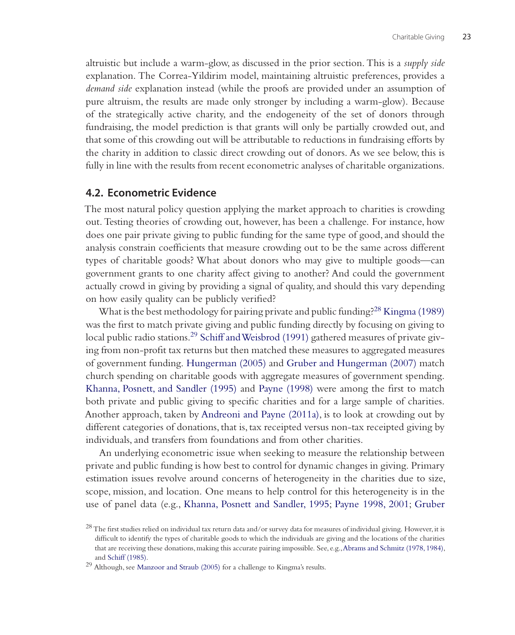altruistic but include a warm-glow, as discussed in the prior section. This is a *supply side* explanation. The Correa-Yildirim model, maintaining altruistic preferences, provides a *demand side* explanation instead (while the proofs are provided under an assumption of pure altruism, the results are made only stronger by including a warm-glow). Because of the strategically active charity, and the endogeneity of the set of donors through fundraising, the model prediction is that grants will only be partially crowded out, and that some of this crowding out will be attributable to reductions in fundraising efforts by the charity in addition to classic direct crowding out of donors. As we see below, this is fully in line with the results from recent econometric analyses of charitable organizations.

## <span id="page-22-0"></span>**4.2. Econometric Evidence**

The most natural policy question applying the market approach to charities is crowding out. Testing theories of crowding out, however, has been a challenge. For instance, how does one pair private giving to public funding for the same type of good, and should the analysis constrain coefficients that measure crowding out to be the same across different types of charitable goods? What about donors who may give to multiple goods—can government grants to one charity affect giving to another? And could the government actually crowd in giving by providing a signal of quality, and should this vary depending on how easily quality can be publicly verified?

What is the best methodology for pairing private and public funding?<sup>28</sup> [Kingma \(1989\)](#page-47-10) was the first to match private giving and public funding directly by focusing on giving to local public radio stations.<sup>29</sup> Schiff and Weisbrod (1991) gathered measures of private giving from non-profit tax returns but then matched these measures to aggregated measures of government funding. [Hungerman \(2005\)](#page-47-11) and [Gruber and Hungerman \(2007\)](#page-47-12) match church spending on charitable goods with aggregate measures of government spending. [Khanna, Posnett, and Sandler \(1995\)](#page-47-13) and [Payne \(1998\)](#page-48-4) were among the first to match both private and public giving to specific charities and for a large sample of charities. Another approach, taken by [Andreoni and Payne \(2011a\),](#page-45-13) is to look at crowding out by different categories of donations, that is, tax receipted versus non-tax receipted giving by individuals, and transfers from foundations and from other charities.

An underlying econometric issue when seeking to measure the relationship between private and public funding is how best to control for dynamic changes in giving. Primary estimation issues revolve around concerns of heterogeneity in the charities due to size, scope, mission, and location. One means to help control for this heterogeneity is in the use of panel data (e.g., [Khanna, Posnett and Sandler, 1995;](#page-47-13) Payne 1998, 2001; Gruber

<span id="page-22-1"></span> $^{28}$  The first studies relied on individual tax return data and/or survey data for measures of individual giving. However, it is difficult to identify the types of charitable goods to which the individuals are giving and the locations of the charities that are receiving these donations, making this accurate pairing impossible. See, e.g.,Abrams and Schmitz (1978, 1984), and [Schiff \(1985\).](#page-48-5)

<span id="page-22-2"></span> $^{29}$  Although, see [Manzoor and Straub \(2005\)](#page-48-6) for a challenge to Kingma's results.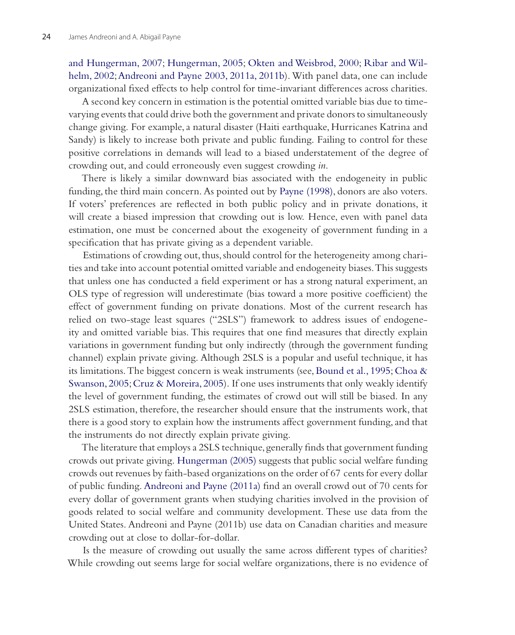and Hungerman, 2007; [Hungerman, 2005;](#page-47-11) [Okten and Weisbrod, 2000;](#page-48-7) Ribar and Wilhelm, 2002; Andreoni and Payne 2003, 2011a, 2011b). With panel data, one can include organizational fixed effects to help control for time-invariant differences across charities.

A second key concern in estimation is the potential omitted variable bias due to timevarying events that could drive both the government and private donors to simultaneously change giving. For example, a natural disaster (Haiti earthquake, Hurricanes Katrina and Sandy) is likely to increase both private and public funding. Failing to control for these positive correlations in demands will lead to a biased understatement of the degree of crowding out, and could erroneously even suggest crowding *in*.

There is likely a similar downward bias associated with the endogeneity in public funding, the third main concern. As pointed out by [Payne \(1998\),](#page-48-4) donors are also voters. If voters' preferences are reflected in both public policy and in private donations, it will create a biased impression that crowding out is low. Hence, even with panel data estimation, one must be concerned about the exogeneity of government funding in a specification that has private giving as a dependent variable.

Estimations of crowding out, thus, should control for the heterogeneity among charities and take into account potential omitted variable and endogeneity biases.This suggests that unless one has conducted a field experiment or has a strong natural experiment, an OLS type of regression will underestimate (bias toward a more positive coefficient) the effect of government funding on private donations. Most of the current research has relied on two-stage least squares ("2SLS") framework to address issues of endogeneity and omitted variable bias. This requires that one find measures that directly explain variations in government funding but only indirectly (through the government funding channel) explain private giving. Although 2SLS is a popular and useful technique, it has its limitations.The biggest concern is weak instruments (see,[Bound et al., 1995;](#page-45-14) Choa & Swanson, 2005; [Cruz & Moreira, 2005\)](#page-46-7). If one uses instruments that only weakly identify the level of government funding, the estimates of crowd out will still be biased. In any 2SLS estimation, therefore, the researcher should ensure that the instruments work, that there is a good story to explain how the instruments affect government funding, and that the instruments do not directly explain private giving.

The literature that employs a 2SLS technique,generally finds that government funding crowds out private giving. [Hungerman \(2005\)](#page-47-11) suggests that public social welfare funding crowds out revenues by faith-based organizations on the order of 67 cents for every dollar of public funding. [Andreoni and Payne \(2011a\)](#page-45-13) find an overall crowd out of 70 cents for every dollar of government grants when studying charities involved in the provision of goods related to social welfare and community development. These use data from the United States. Andreoni and Payne (2011b) use data on Canadian charities and measure crowding out at close to dollar-for-dollar.

Is the measure of crowding out usually the same across different types of charities? While crowding out seems large for social welfare organizations, there is no evidence of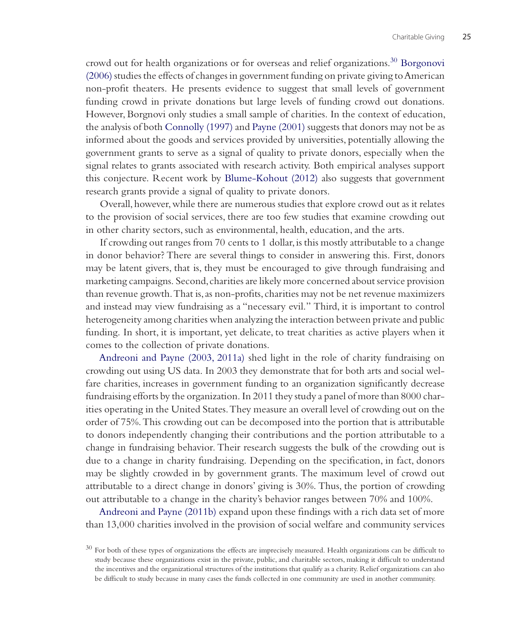crowd out for health organizations or for overseas and relief organizations.[30](#page-24-0) Borgonovi (2006) [studies](#page-45-15) [the](#page-45-15) [effects](#page-45-15) [of](#page-45-15) [changes](#page-45-15) [in](#page-45-15) [government](#page-45-15) [funding](#page-45-15) [on](#page-45-15) [private](#page-45-15) [giving](#page-45-15) [to](#page-45-15) American non-profit theaters. He presents evidence to suggest that small levels of government funding crowd in private donations but large levels of funding crowd out donations. However, Borgnovi only studies a small sample of charities. In the context of education, the analysis of both [Connolly \(1997\)](#page-46-8) and [Payne \(2001\)](#page-48-8) suggests that donors may not be as informed about the goods and services provided by universities, potentially allowing the government grants to serve as a signal of quality to private donors, especially when the signal relates to grants associated with research activity. Both empirical analyses support this conjecture. Recent work by [Blume-Kohout \(2012\)](#page-45-16) also suggests that government research grants provide a signal of quality to private donors.

Overall, however,while there are numerous studies that explore crowd out as it relates to the provision of social services, there are too few studies that examine crowding out in other charity sectors, such as environmental, health, education, and the arts.

If crowding out ranges from 70 cents to 1 dollar,is this mostly attributable to a change in donor behavior? There are several things to consider in answering this. First, donors may be latent givers, that is, they must be encouraged to give through fundraising and marketing campaigns. Second, charities are likely more concerned about service provision than revenue growth.That is, as non-profits, charities may not be net revenue maximizers and instead may view fundraising as a "necessary evil." Third, it is important to control heterogeneity among charities when analyzing the interaction between private and public funding. In short, it is important, yet delicate, to treat charities as active players when it comes to the collection of private donations.

Andreoni and Payne (2003, 2011a) shed light in the role of charity fundraising on crowding out using US data. In 2003 they demonstrate that for both arts and social welfare charities, increases in government funding to an organization significantly decrease fundraising efforts by the organization. In 2011 they study a panel of more than 8000 charities operating in the United States.They measure an overall level of crowding out on the order of 75%.This crowding out can be decomposed into the portion that is attributable to donors independently changing their contributions and the portion attributable to a change in fundraising behavior. Their research suggests the bulk of the crowding out is due to a change in charity fundraising. Depending on the specification, in fact, donors may be slightly crowded in by government grants. The maximum level of crowd out attributable to a direct change in donors' giving is 30%. Thus, the portion of crowding out attributable to a change in the charity's behavior ranges between 70% and 100%.

[Andreoni and Payne \(2011b\)](#page-45-17) expand upon these findings with a rich data set of more than 13,000 charities involved in the provision of social welfare and community services

<span id="page-24-0"></span><sup>&</sup>lt;sup>30</sup> For both of these types of organizations the effects are imprecisely measured. Health organizations can be difficult to study because these organizations exist in the private, public, and charitable sectors, making it difficult to understand the incentives and the organizational structures of the institutions that qualify as a charity. Relief organizations can also be difficult to study because in many cases the funds collected in one community are used in another community.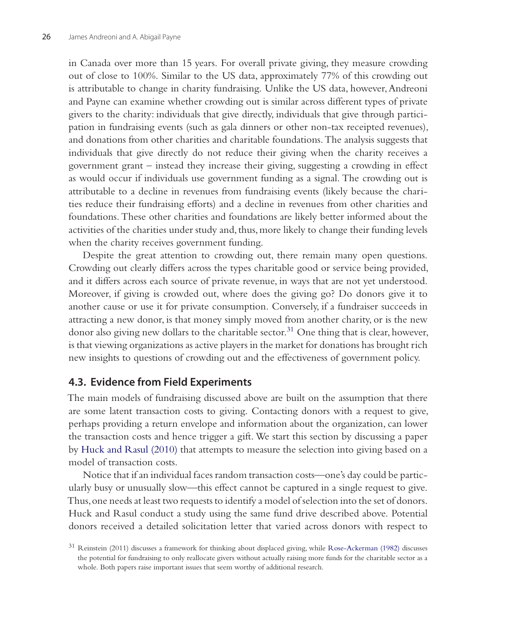in Canada over more than 15 years. For overall private giving, they measure crowding out of close to 100%. Similar to the US data, approximately 77% of this crowding out is attributable to change in charity fundraising. Unlike the US data, however,Andreoni and Payne can examine whether crowding out is similar across different types of private givers to the charity: individuals that give directly, individuals that give through participation in fundraising events (such as gala dinners or other non-tax receipted revenues), and donations from other charities and charitable foundations. The analysis suggests that individuals that give directly do not reduce their giving when the charity receives a government grant – instead they increase their giving, suggesting a crowding in effect as would occur if individuals use government funding as a signal. The crowding out is attributable to a decline in revenues from fundraising events (likely because the charities reduce their fundraising efforts) and a decline in revenues from other charities and foundations. These other charities and foundations are likely better informed about the activities of the charities under study and, thus, more likely to change their funding levels when the charity receives government funding.

Despite the great attention to crowding out, there remain many open questions. Crowding out clearly differs across the types charitable good or service being provided, and it differs across each source of private revenue, in ways that are not yet understood. Moreover, if giving is crowded out, where does the giving go? Do donors give it to another cause or use it for private consumption. Conversely, if a fundraiser succeeds in attracting a new donor, is that money simply moved from another charity, or is the new donor also giving new dollars to the charitable sector.<sup>31</sup> One thing that is clear, however, is that viewing organizations as active players in the market for donations has brought rich new insights to questions of crowding out and the effectiveness of government policy.

## <span id="page-25-0"></span>**4.3. Evidence from Field Experiments**

The main models of fundraising discussed above are built on the assumption that there are some latent transaction costs to giving. Contacting donors with a request to give, perhaps providing a return envelope and information about the organization, can lower the transaction costs and hence trigger a gift. We start this section by discussing a paper by [Huck and Rasul \(2010\)](#page-47-14) that attempts to measure the selection into giving based on a model of transaction costs.

Notice that if an individual faces random transaction costs—one's day could be particularly busy or unusually slow—this effect cannot be captured in a single request to give. Thus,one needs at least two requests to identify a model of selection into the set of donors. Huck and Rasul conduct a study using the same fund drive described above. Potential donors received a detailed solicitation letter that varied across donors with respect to

<span id="page-25-1"></span><sup>&</sup>lt;sup>31</sup> Reinstein (2011) discusses a framework for thinking about displaced giving, while [Rose-Ackerman \(1982\)](#page-48-9) discusses the potential for fundraising to only reallocate givers without actually raising more funds for the charitable sector as a whole. Both papers raise important issues that seem worthy of additional research.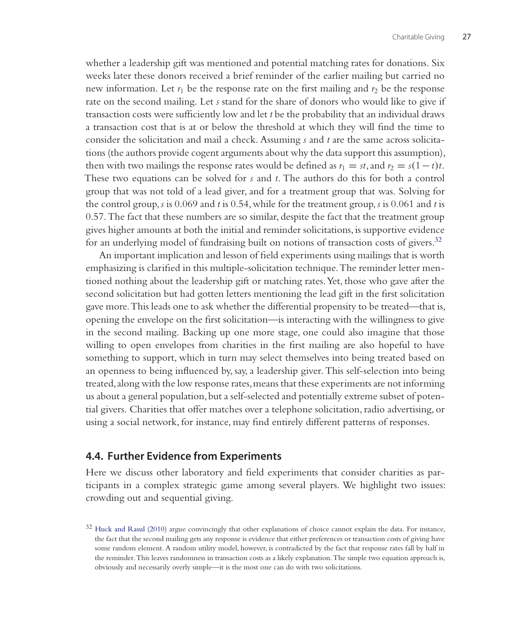whether a leadership gift was mentioned and potential matching rates for donations. Six weeks later these donors received a brief reminder of the earlier mailing but carried no new information. Let  $r_1$  be the response rate on the first mailing and  $r_2$  be the response rate on the second mailing. Let *s* stand for the share of donors who would like to give if transaction costs were sufficiently low and let *t* be the probability that an individual draws a transaction cost that is at or below the threshold at which they will find the time to consider the solicitation and mail a check. Assuming *s* and *t* are the same across solicitations (the authors provide cogent arguments about why the data support this assumption), then with two mailings the response rates would be defined as  $r_1 = st$ , and  $r_2 = s(1-t)t$ . These two equations can be solved for *s* and *t*. The authors do this for both a control group that was not told of a lead giver, and for a treatment group that was. Solving for the control group,*s* is 0.069 and *t* is 0.54, while for the treatment group,*s* is 0.061 and *t* is 0.57.The fact that these numbers are so similar, despite the fact that the treatment group gives higher amounts at both the initial and reminder solicitations, is supportive evidence for an underlying model of fundraising built on notions of transaction costs of givers.<sup>32</sup>

An important implication and lesson of field experiments using mailings that is worth emphasizing is clarified in this multiple-solicitation technique.The reminder letter mentioned nothing about the leadership gift or matching rates.Yet, those who gave after the second solicitation but had gotten letters mentioning the lead gift in the first solicitation gave more.This leads one to ask whether the differential propensity to be treated—that is, opening the envelope on the first solicitation—is interacting with the willingness to give in the second mailing. Backing up one more stage, one could also imagine that those willing to open envelopes from charities in the first mailing are also hopeful to have something to support, which in turn may select themselves into being treated based on an openness to being influenced by, say, a leadership giver. This self-selection into being treated, along with the low response rates, means that these experiments are not informing us about a general population, but a self-selected and potentially extreme subset of potential givers. Charities that offer matches over a telephone solicitation, radio advertising, or using a social network, for instance, may find entirely different patterns of responses.

## <span id="page-26-0"></span>**4.4. Further Evidence from Experiments**

Here we discuss other laboratory and field experiments that consider charities as participants in a complex strategic game among several players. We highlight two issues: crowding out and sequential giving.

<span id="page-26-1"></span> $32$  [Huck and Rasul \(2010\)](#page-47-14) argue convincingly that other explanations of choice cannot explain the data. For instance, the fact that the second mailing gets any response is evidence that either preferences or transaction costs of giving have some random element. A random utility model, however, is contradicted by the fact that response rates fall by half in the reminder.This leaves randomness in transaction costs as a likely explanation.The simple two equation approach is, obviously and necessarily overly simple—it is the most one can do with two solicitations.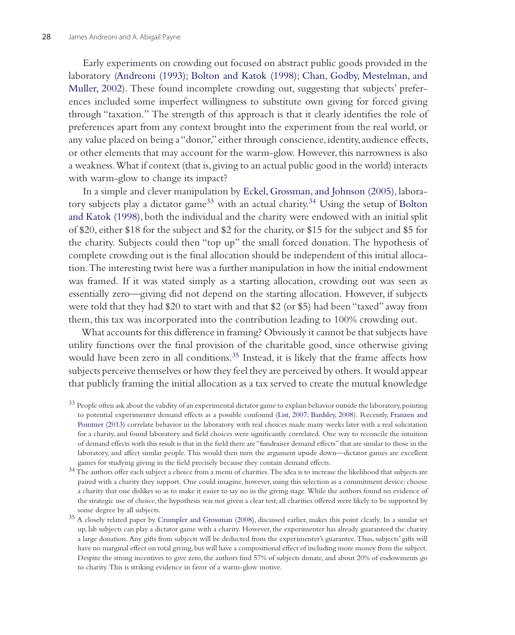Early experiments on crowding out focused on abstract public goods provided in the laboratory [\(Andreoni \(1993\);](#page-44-4) [Bolton and Katok \(1998\);](#page-45-7) Chan, Godby, Mestelman, and Muller, 2002). These found incomplete crowding out, suggesting that subjects' preferences included some imperfect willingness to substitute own giving for forced giving through "taxation." The strength of this approach is that it clearly identifies the role of preferences apart from any context brought into the experiment from the real world, or any value placed on being a "donor," either through conscience, identity, audience effects, or other elements that may account for the warm-glow. However, this narrowness is also a weakness.What if context (that is,giving to an actual public good in the world) interacts with warm-glow to change its impact?

In a simple and clever manipulation by [Eckel, Grossman, and Johnson \(2005\),](#page-46-2) laboratory subjects play a dictator game<sup>33</sup> with an actual charity.<sup>34</sup> Using the setup of Bolton and Katok (1998), both the individual and the charity were endowed with an initial split of \$20, either \$18 for the subject and \$2 for the charity, or \$15 for the subject and \$5 for the charity. Subjects could then "top up" the small forced donation. The hypothesis of complete crowding out is the final allocation should be independent of this initial allocation.The interesting twist here was a further manipulation in how the initial endowment was framed. If it was stated simply as a starting allocation, crowding out was seen as essentially zero—giving did not depend on the starting allocation. However, if subjects were told that they had \$20 to start with and that \$2 (or \$5) had been "taxed" away from them, this tax was incorporated into the contribution leading to 100% crowding out.

What accounts for this difference in framing? Obviously it cannot be that subjects have utility functions over the final provision of the charitable good, since otherwise giving would have been zero in all conditions.<sup>[35](#page-27-2)</sup> Instead, it is likely that the frame affects how subjects perceive themselves or how they feel they are perceived by others. It would appear that publicly framing the initial allocation as a tax served to create the mutual knowledge

<span id="page-27-0"></span><sup>&</sup>lt;sup>33</sup> People often ask about the validity of an experimental dictator game to explain behavior outside the laboratory, pointing to potential experimenter demand effects as a possible confound [\(List, 2007;](#page-47-15) [Bardsley, 2008\)](#page-45-18). Recently, Franzen and Pointner (2013) correlate behavior in the laboratory with real choices made many weeks later with a real solicitation for a charity, and found laboratory and field choices were significantly correlated. One way to reconcile the intuition of demand effects with this result is that in the field there are "fundraiser demand effects"that are similar to those in the laboratory, and affect similar people. This would then turn the argument upside down—dictator games are excellent games for studying giving in the field precisely because they contain demand effects.

<span id="page-27-1"></span><sup>&</sup>lt;sup>34</sup> The authors offer each subject a choice from a menu of charities. The idea is to increase the likelihood that subjects are paired with a charity they support. One could imagine, however, using this selection as a commitment device: choose a charity that one dislikes so as to make it easier to say no in the giving stage.While the authors found no evidence of the strategic use of choice, the hypothesis was not given a clear test; all charities offered were likely to be supported by some degree by all subjects.

<span id="page-27-2"></span><sup>35</sup> A closely related paper by [Crumpler and Grossman \(2008\),](#page-46-0) discussed earlier, makes this point clearly. In a similar set up, lab subjects can play a dictator game with a charity. However, the experimenter has already guaranteed the charity a large donation. Any gifts from subjects will be deducted from the experimenter's guarantee. Thus, subjects' gifts will have no marginal effect on total giving, but will have a compositional effect of including more money from the subject. Despite the strong incentives to give zero, the authors find 57% of subjects donate, and about 20% of endowments go to charity. This is striking evidence in favor of a warm-glow motive.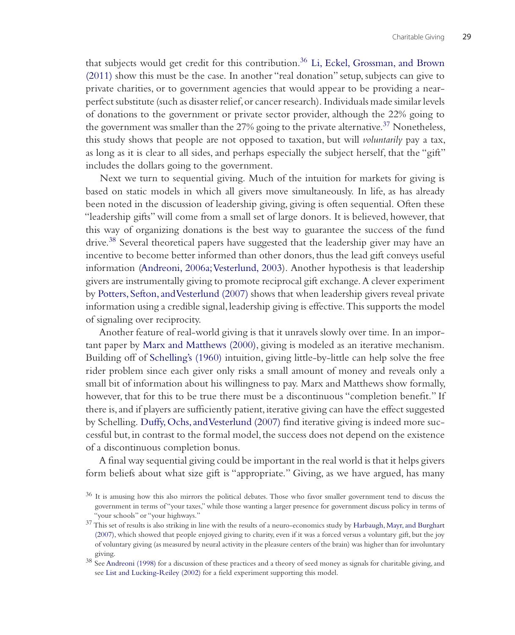that subjects would get credit for this contribution.<sup>36</sup> Li, Eckel, Grossman, and Brown (2011) show this must be the case. In another "real donation" setup, subjects can give to private charities, or to government agencies that would appear to be providing a nearperfect substitute (such as disaster relief,or cancer research). Individuals made similar levels of donations to the government or private sector provider, although the 22% going to the government was smaller than the 27% going to the private alternative.<sup>[37](#page-28-1)</sup> Nonetheless, this study shows that people are not opposed to taxation, but will *voluntarily* pay a tax, as long as it is clear to all sides, and perhaps especially the subject herself, that the "gift" includes the dollars going to the government.

Next we turn to sequential giving. Much of the intuition for markets for giving is based on static models in which all givers move simultaneously. In life, as has already been noted in the discussion of leadership giving, giving is often sequential. Often these "leadership gifts" will come from a small set of large donors. It is believed, however, that this way of organizing donations is the best way to guarantee the success of the fund drive.<sup>38</sup> Several theoretical papers have suggested that the leadership giver may have an incentive to become better informed than other donors,thus the lead gift conveys useful information (Andreoni, 2006a;Vesterlund, 2003). Another hypothesis is that leadership givers are instrumentally giving to promote reciprocal gift exchange.A clever experiment by [Potters, Sefton, andVesterlund \(2007\)](#page-48-10) shows that when leadership givers reveal private information using a credible signal, leadership giving is effective.This supports the model of signaling over reciprocity.

Another feature of real-world giving is that it unravels slowly over time. In an important paper by [Marx and Matthews \(2000\),](#page-48-11) giving is modeled as an iterative mechanism. Building off of [Schelling's \(1960\)](#page-48-12) intuition, giving little-by-little can help solve the free rider problem since each giver only risks a small amount of money and reveals only a small bit of information about his willingness to pay. Marx and Matthews show formally, however, that for this to be true there must be a discontinuous "completion benefit." If there is, and if players are sufficiently patient, iterative giving can have the effect suggested by Schelling. [Duffy, Ochs, andVesterlund \(2007\)](#page-46-9) find iterative giving is indeed more successful but, in contrast to the formal model, the success does not depend on the existence of a discontinuous completion bonus.

A final way sequential giving could be important in the real world is that it helps givers form beliefs about what size gift is "appropriate." Giving, as we have argued, has many

<span id="page-28-0"></span><sup>36</sup> It is amusing how this also mirrors the political debates. Those who favor smaller government tend to discuss the government in terms of "your taxes," while those wanting a larger presence for government discuss policy in terms of "your schools" or "your highways."

<span id="page-28-1"></span> $37$  This set of results is also striking in line with the results of a neuro-economics study by Harbaugh, Mayr, and Burghart (2007), which showed that people enjoyed giving to charity, even if it was a forced versus a voluntary gift, but the joy of voluntary giving (as measured by neural activity in the pleasure centers of the brain) was higher than for involuntary giving.

<span id="page-28-2"></span><sup>38</sup> See [Andreoni \(1998\)](#page-44-5) for a discussion of these practices and a theory of seed money as signals for charitable giving, and see [List and Lucking-Reiley \(2002\)](#page-47-7) for a field experiment supporting this model.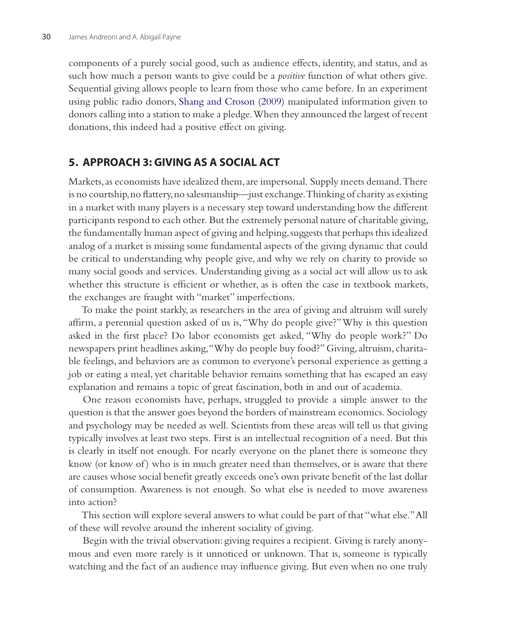components of a purely social good, such as audience effects, identity, and status, and as such how much a person wants to give could be a *positive* function of what others give. Sequential giving allows people to learn from those who came before. In an experiment using public radio donors, [Shang and Croson \(2009\)](#page-48-13) manipulated information given to donors calling into a station to make a pledge.When they announced the largest of recent donations, this indeed had a positive effect on giving.

## <span id="page-29-0"></span>**5. APPROACH 3: GIVING AS A SOCIAL ACT**

Markets, as economists have idealized them, are impersonal. Supply meets demand.There is no courtship,no flattery,no salesmanship—just exchange.Thinking of charity as existing in a market with many players is a necessary step toward understanding how the different participants respond to each other. But the extremely personal nature of charitable giving, the fundamentally human aspect of giving and helping, suggests that perhaps this idealized analog of a market is missing some fundamental aspects of the giving dynamic that could be critical to understanding why people give, and why we rely on charity to provide so many social goods and services. Understanding giving as a social act will allow us to ask whether this structure is efficient or whether, as is often the case in textbook markets, the exchanges are fraught with "market" imperfections.

To make the point starkly, as researchers in the area of giving and altruism will surely affirm, a perennial question asked of us is,"Why do people give?"Why is this question asked in the first place? Do labor economists get asked, "Why do people work?" Do newspapers print headlines asking,"Why do people buy food?" Giving, altruism, charitable feelings, and behaviors are as common to everyone's personal experience as getting a job or eating a meal, yet charitable behavior remains something that has escaped an easy explanation and remains a topic of great fascination, both in and out of academia.

One reason economists have, perhaps, struggled to provide a simple answer to the question is that the answer goes beyond the borders of mainstream economics. Sociology and psychology may be needed as well. Scientists from these areas will tell us that giving typically involves at least two steps. First is an intellectual recognition of a need. But this is clearly in itself not enough. For nearly everyone on the planet there is someone they know (or know of) who is in much greater need than themselves, or is aware that there are causes whose social benefit greatly exceeds one's own private benefit of the last dollar of consumption. Awareness is not enough. So what else is needed to move awareness into action?

This section will explore several answers to what could be part of that "what else."All of these will revolve around the inherent sociality of giving.

Begin with the trivial observation: giving requires a recipient. Giving is rarely anonymous and even more rarely is it unnoticed or unknown. That is, someone is typically watching and the fact of an audience may influence giving. But even when no one truly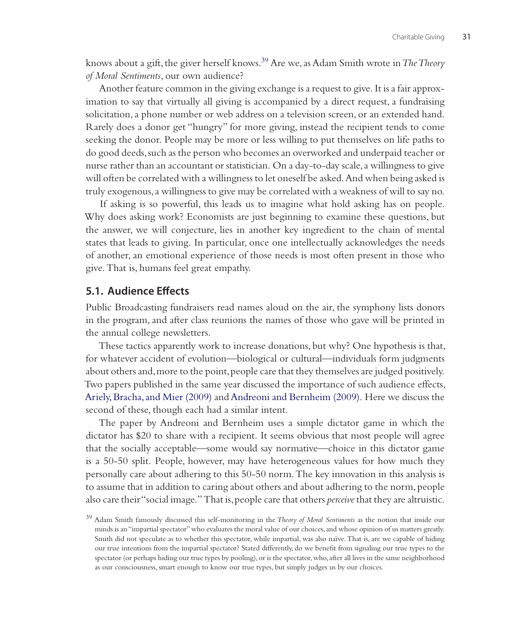knows about a gift, the giver herself knows.<sup>39</sup> Are we, as Adam Smith wrote in *The Theory of Moral Sentiments*, our own audience?

Another feature common in the giving exchange is a request to give. It is a fair approximation to say that virtually all giving is accompanied by a direct request, a fundraising solicitation, a phone number or web address on a television screen, or an extended hand. Rarely does a donor get "hungry" for more giving, instead the recipient tends to come seeking the donor. People may be more or less willing to put themselves on life paths to do good deeds, such as the person who becomes an overworked and underpaid teacher or nurse rather than an accountant or statistician. On a day-to-day scale, a willingness to give will often be correlated with a willingness to let oneself be asked.And when being asked is truly exogenous, a willingness to give may be correlated with a weakness of will to say no.

If asking is so powerful, this leads us to imagine what hold asking has on people. Why does asking work? Economists are just beginning to examine these questions, but the answer, we will conjecture, lies in another key ingredient to the chain of mental states that leads to giving. In particular, once one intellectually acknowledges the needs of another, an emotional experience of those needs is most often present in those who give. That is, humans feel great empathy.

## <span id="page-30-0"></span>**5.1. Audience Effects**

Public Broadcasting fundraisers read names aloud on the air, the symphony lists donors in the program, and after class reunions the names of those who gave will be printed in the annual college newsletters.

These tactics apparently work to increase donations, but why? One hypothesis is that, for whatever accident of evolution—biological or cultural—individuals form judgments about others and, more to the point, people care that they themselves are judged positively. Two papers published in the same year discussed the importance of such audience effects, [Ariely, Bracha, and Mier \(2009\)](#page-45-19) and[Andreoni and Bernheim \(2009\).](#page-44-7) Here we discuss the second of these, though each had a similar intent.

The paper by Andreoni and Bernheim uses a simple dictator game in which the dictator has \$20 to share with a recipient. It seems obvious that most people will agree that the socially acceptable—some would say normative—choice in this dictator game is a 50-50 split. People, however, may have heterogeneous values for how much they personally care about adhering to this 50-50 norm.The key innovation in this analysis is to assume that in addition to caring about others and about adhering to the norm, people also care their"social image."That is,people care that others *perceive* that they are altruistic.

<span id="page-30-1"></span><sup>39</sup> Adam Smith famously discussed this self-monitoring in the *Theory of Moral Sentiments* as the notion that inside our minds is an"impartial spectator"who evaluates the moral value of our choices, and whose opinion of us matters greatly. Smith did not speculate as to whether this spectator, while impartial, was also naïve. That is, are we capable of hiding our true intentions from the impartial spectator? Stated differently, do we benefit from signaling our true types to the spectator (or perhaps hiding our true types by pooling), or is the spectator,who, after all lives in the same neighborhood as our consciousness, smart enough to know our true types, but simply judges us by our choices.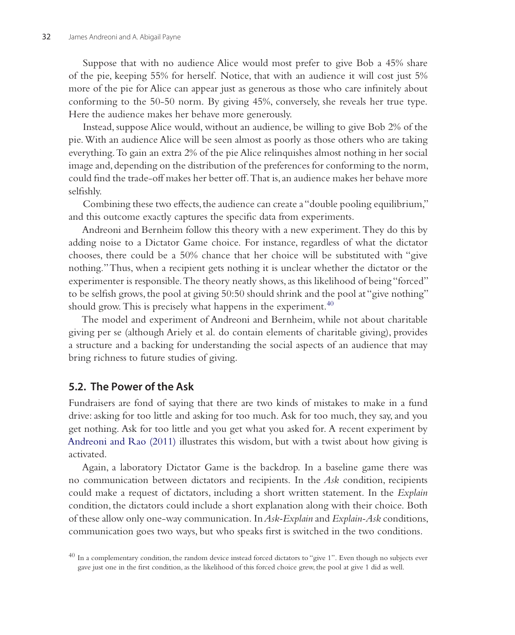Suppose that with no audience Alice would most prefer to give Bob a 45% share of the pie, keeping 55% for herself. Notice, that with an audience it will cost just 5% more of the pie for Alice can appear just as generous as those who care infinitely about conforming to the 50-50 norm. By giving 45%, conversely, she reveals her true type. Here the audience makes her behave more generously.

Instead, suppose Alice would, without an audience, be willing to give Bob 2% of the pie.With an audience Alice will be seen almost as poorly as those others who are taking everything.To gain an extra 2% of the pie Alice relinquishes almost nothing in her social image and, depending on the distribution of the preferences for conforming to the norm, could find the trade-off makes her better off.That is, an audience makes her behave more selfishly.

Combining these two effects, the audience can create a "double pooling equilibrium," and this outcome exactly captures the specific data from experiments.

Andreoni and Bernheim follow this theory with a new experiment. They do this by adding noise to a Dictator Game choice. For instance, regardless of what the dictator chooses, there could be a 50% chance that her choice will be substituted with "give nothing."Thus, when a recipient gets nothing it is unclear whether the dictator or the experimenter is responsible.The theory neatly shows, as this likelihood of being "forced" to be selfish grows, the pool at giving 50:50 should shrink and the pool at "give nothing" should grow. This is precisely what happens in the experiment. $40$ 

The model and experiment of Andreoni and Bernheim, while not about charitable giving per se (although Ariely et al. do contain elements of charitable giving), provides a structure and a backing for understanding the social aspects of an audience that may bring richness to future studies of giving.

## <span id="page-31-0"></span>**5.2. The Power of the Ask**

Fundraisers are fond of saying that there are two kinds of mistakes to make in a fund drive: asking for too little and asking for too much. Ask for too much, they say, and you get nothing. Ask for too little and you get what you asked for. A recent experiment by [Andreoni and Rao \(2011\)](#page-45-20) illustrates this wisdom, but with a twist about how giving is activated.

Again, a laboratory Dictator Game is the backdrop. In a baseline game there was no communication between dictators and recipients. In the *Ask* condition, recipients could make a request of dictators, including a short written statement. In the *Explain* condition, the dictators could include a short explanation along with their choice. Both of these allow only one-way communication. In*Ask-Explain* and *Explain-Ask* conditions, communication goes two ways, but who speaks first is switched in the two conditions.

<span id="page-31-1"></span> $^{40}$  In a complementary condition, the random device instead forced dictators to "give 1". Even though no subjects ever gave just one in the first condition, as the likelihood of this forced choice grew, the pool at give 1 did as well.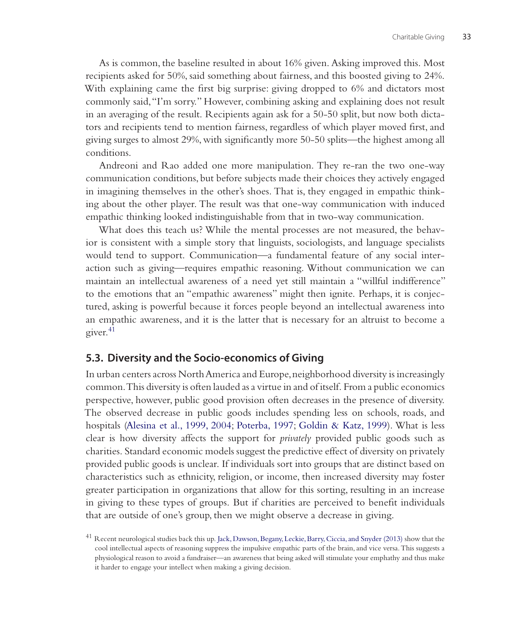As is common, the baseline resulted in about 16% given. Asking improved this. Most recipients asked for 50%, said something about fairness, and this boosted giving to 24%. With explaining came the first big surprise: giving dropped to 6% and dictators most commonly said,"I'm sorry." However, combining asking and explaining does not result in an averaging of the result. Recipients again ask for a 50-50 split, but now both dictators and recipients tend to mention fairness, regardless of which player moved first, and giving surges to almost 29%, with significantly more 50-50 splits—the highest among all conditions.

Andreoni and Rao added one more manipulation. They re-ran the two one-way communication conditions, but before subjects made their choices they actively engaged in imagining themselves in the other's shoes. That is, they engaged in empathic thinking about the other player. The result was that one-way communication with induced empathic thinking looked indistinguishable from that in two-way communication.

What does this teach us? While the mental processes are not measured, the behavior is consistent with a simple story that linguists, sociologists, and language specialists would tend to support. Communication—a fundamental feature of any social interaction such as giving—requires empathic reasoning. Without communication we can maintain an intellectual awareness of a need yet still maintain a "willful indifference" to the emotions that an "empathic awareness" might then ignite. Perhaps, it is conjectured, asking is powerful because it forces people beyond an intellectual awareness into an empathic awareness, and it is the latter that is necessary for an altruist to become a giver. $41$ 

## <span id="page-32-0"></span>**5.3. Diversity and the Socio-economics of Giving**

In urban centers across North America and Europe, neighborhood diversity is increasingly common.This diversity is often lauded as a virtue in and of itself. From a public economics perspective, however, public good provision often decreases in the presence of diversity. The observed decrease in public goods includes spending less on schools, roads, and hospitals (Alesina et al., 1999, 2004; [Poterba, 1997;](#page-48-14) [Goldin & Katz, 1999\)](#page-47-16). What is less clear is how diversity affects the support for *privately* provided public goods such as charities. Standard economic models suggest the predictive effect of diversity on privately provided public goods is unclear. If individuals sort into groups that are distinct based on characteristics such as ethnicity, religion, or income, then increased diversity may foster greater participation in organizations that allow for this sorting, resulting in an increase in giving to these types of groups. But if charities are perceived to benefit individuals that are outside of one's group, then we might observe a decrease in giving.

<span id="page-32-1"></span><sup>41</sup> Recent neurological studies back this up. [Jack, Dawson, Begany, Leckie, Barry, Ciccia, and Snyder \(2013\)](#page-47-17) show that the cool intellectual aspects of reasoning suppress the impulsive empathic parts of the brain, and vice versa.This suggests a physiological reason to avoid a fundraiser—an awareness that being asked will stimulate your emphathy and thus make it harder to engage your intellect when making a giving decision.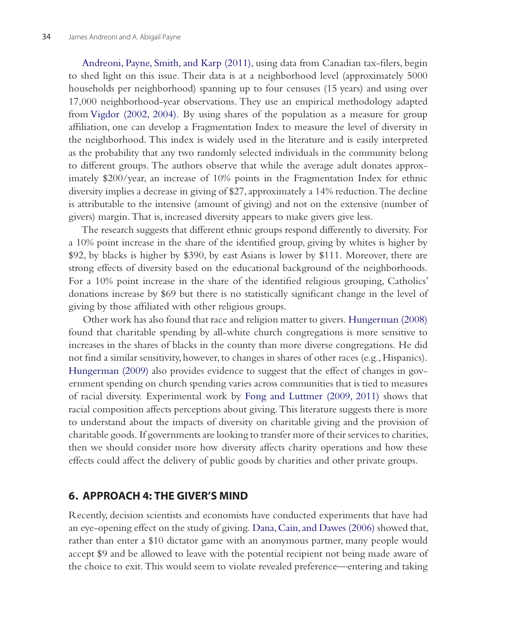[Andreoni, Payne, Smith, and Karp \(2011\),](#page-45-21) using data from Canadian tax-filers, begin to shed light on this issue. Their data is at a neighborhood level (approximately 5000 households per neighborhood) spanning up to four censuses (15 years) and using over 17,000 neighborhood-year observations. They use an empirical methodology adapted from Vigdor (2002, 2004). By using shares of the population as a measure for group affiliation, one can develop a Fragmentation Index to measure the level of diversity in the neighborhood. This index is widely used in the literature and is easily interpreted as the probability that any two randomly selected individuals in the community belong to different groups. The authors observe that while the average adult donates approximately \$200/year, an increase of 10% points in the Fragmentation Index for ethnic diversity implies a decrease in giving of \$27, approximately a 14% reduction.The decline is attributable to the intensive (amount of giving) and not on the extensive (number of givers) margin. That is, increased diversity appears to make givers give less.

The research suggests that different ethnic groups respond differently to diversity. For a 10% point increase in the share of the identified group, giving by whites is higher by \$92, by blacks is higher by \$390, by east Asians is lower by \$111. Moreover, there are strong effects of diversity based on the educational background of the neighborhoods. For a 10% point increase in the share of the identified religious grouping, Catholics' donations increase by \$69 but there is no statistically significant change in the level of giving by those affiliated with other religious groups.

Other work has also found that race and religion matter to givers. [Hungerman \(2008\)](#page-47-18) found that charitable spending by all-white church congregations is more sensitive to increases in the shares of blacks in the county than more diverse congregations. He did not find a similar sensitivity, however, to changes in shares of other races (e.g., Hispanics). [Hungerman \(2009\)](#page-47-19) also provides evidence to suggest that the effect of changes in government spending on church spending varies across communities that is tied to measures of racial diversity. Experimental work by Fong and Luttmer (2009, 2011) shows that racial composition affects perceptions about giving.This literature suggests there is more to understand about the impacts of diversity on charitable giving and the provision of charitable goods. If governments are looking to transfer more of their services to charities, then we should consider more how diversity affects charity operations and how these effects could affect the delivery of public goods by charities and other private groups.

## <span id="page-33-0"></span>**6. APPROACH 4: THE GIVER'S MIND**

Recently, decision scientists and economists have conducted experiments that have had an eye-opening effect on the study of giving. [Dana, Cain, and Dawes \(2006\)](#page-46-10) showed that, rather than enter a \$10 dictator game with an anonymous partner, many people would accept \$9 and be allowed to leave with the potential recipient not being made aware of the choice to exit. This would seem to violate revealed preference—entering and taking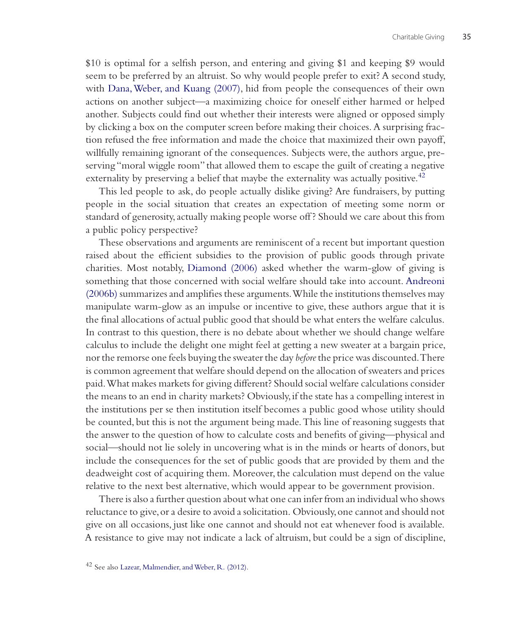\$10 is optimal for a selfish person, and entering and giving \$1 and keeping \$9 would seem to be preferred by an altruist. So why would people prefer to exit? A second study, with [Dana,Weber, and Kuang \(2007\),](#page-46-11) hid from people the consequences of their own actions on another subject—a maximizing choice for oneself either harmed or helped another. Subjects could find out whether their interests were aligned or opposed simply by clicking a box on the computer screen before making their choices. A surprising fraction refused the free information and made the choice that maximized their own payoff, willfully remaining ignorant of the consequences. Subjects were, the authors argue, preserving "moral wiggle room" that allowed them to escape the guilt of creating a negative externality by preserving a belief that maybe the externality was actually positive.<sup>42</sup>

This led people to ask, do people actually dislike giving? Are fundraisers, by putting people in the social situation that creates an expectation of meeting some norm or standard of generosity, actually making people worse off ? Should we care about this from a public policy perspective?

These observations and arguments are reminiscent of a recent but important question raised about the efficient subsidies to the provision of public goods through private charities. Most notably, [Diamond \(2006\)](#page-46-12) asked whether the warm-glow of giving is something that those concerned with social welfare should take into account. Andreoni (2006b) summarizes and amplifies these arguments.While the institutions themselves may manipulate warm-glow as an impulse or incentive to give, these authors argue that it is the final allocations of actual public good that should be what enters the welfare calculus. In contrast to this question, there is no debate about whether we should change welfare calculus to include the delight one might feel at getting a new sweater at a bargain price, nor the remorse one feels buying the sweater the day *before* the price was discounted.There is common agreement that welfare should depend on the allocation of sweaters and prices paid.What makes markets for giving different? Should social welfare calculations consider the means to an end in charity markets? Obviously,if the state has a compelling interest in the institutions per se then institution itself becomes a public good whose utility should be counted, but this is not the argument being made.This line of reasoning suggests that the answer to the question of how to calculate costs and benefits of giving—physical and social—should not lie solely in uncovering what is in the minds or hearts of donors, but include the consequences for the set of public goods that are provided by them and the deadweight cost of acquiring them. Moreover, the calculation must depend on the value relative to the next best alternative, which would appear to be government provision.

There is also a further question about what one can infer from an individual who shows reluctance to give,or a desire to avoid a solicitation. Obviously,one cannot and should not give on all occasions, just like one cannot and should not eat whenever food is available. A resistance to give may not indicate a lack of altruism, but could be a sign of discipline,

<span id="page-34-0"></span><sup>&</sup>lt;sup>42</sup> See also Lazear, Malmendier, and Weber, R. (2012).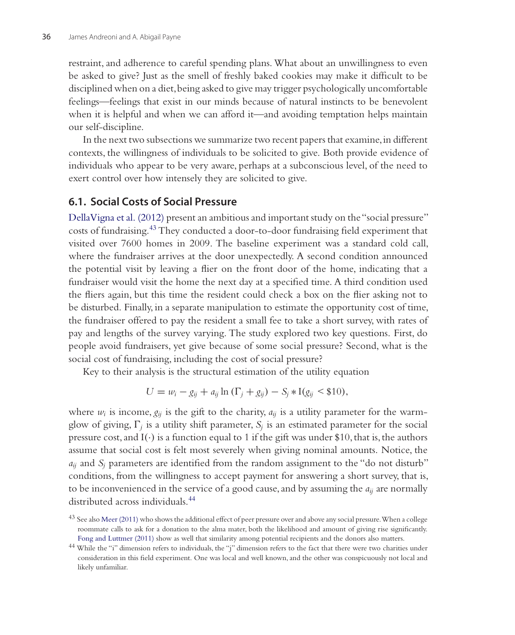restraint, and adherence to careful spending plans.What about an unwillingness to even be asked to give? Just as the smell of freshly baked cookies may make it difficult to be disciplined when on a diet,being asked to give may trigger psychologically uncomfortable feelings—feelings that exist in our minds because of natural instincts to be benevolent when it is helpful and when we can afford it—and avoiding temptation helps maintain our self-discipline.

In the next two subsections we summarize two recent papers that examine,in different contexts, the willingness of individuals to be solicited to give. Both provide evidence of individuals who appear to be very aware, perhaps at a subconscious level, of the need to exert control over how intensely they are solicited to give.

## <span id="page-35-0"></span>**6.1. Social Costs of Social Pressure**

[DellaVigna et al. \(2012\)](#page-46-13) present an ambitious and important study on the"social pressure" costs of fundraising.<sup>43</sup> They conducted a door-to-door fundraising field experiment that visited over 7600 homes in 2009. The baseline experiment was a standard cold call, where the fundraiser arrives at the door unexpectedly. A second condition announced the potential visit by leaving a flier on the front door of the home, indicating that a fundraiser would visit the home the next day at a specified time. A third condition used the fliers again, but this time the resident could check a box on the flier asking not to be disturbed. Finally, in a separate manipulation to estimate the opportunity cost of time, the fundraiser offered to pay the resident a small fee to take a short survey, with rates of pay and lengths of the survey varying. The study explored two key questions. First, do people avoid fundraisers, yet give because of some social pressure? Second, what is the social cost of fundraising, including the cost of social pressure?

Key to their analysis is the structural estimation of the utility equation

$$
U = w_i - g_{ij} + a_{ij} \ln(\Gamma_j + g_{ij}) - S_j * I(g_{ij} < $10),
$$

where  $w_i$  is income,  $g_{ij}$  is the gift to the charity,  $a_{ij}$  is a utility parameter for the warmglow of giving,  $\Gamma_i$  is a utility shift parameter,  $S_i$  is an estimated parameter for the social pressure cost, and  $I(\cdot)$  is a function equal to 1 if the gift was under \$10, that is, the authors assume that social cost is felt most severely when giving nominal amounts. Notice, the  $a_{ij}$  and  $S_i$  parameters are identified from the random assignment to the "do not disturb" conditions, from the willingness to accept payment for answering a short survey, that is, to be inconvenienced in the service of a good cause, and by assuming the *aij* are normally distributed across individuals[.44](#page-35-2)

<span id="page-35-1"></span> $^{43}$  See also [Meer \(2011\)](#page-48-15) who shows the additional effect of peer pressure over and above any social pressure. When a college roommate calls to ask for a donation to the alma mater, both the likelihood and amount of giving rise significantly. [Fong and Luttmer \(2011\)](#page-47-21) show as well that similarity among potential recipients and the donors also matters.

<span id="page-35-2"></span><sup>44</sup> While the "i" dimension refers to individuals, the "j" dimension refers to the fact that there were two charities under consideration in this field experiment. One was local and well known, and the other was conspicuously not local and likely unfamiliar.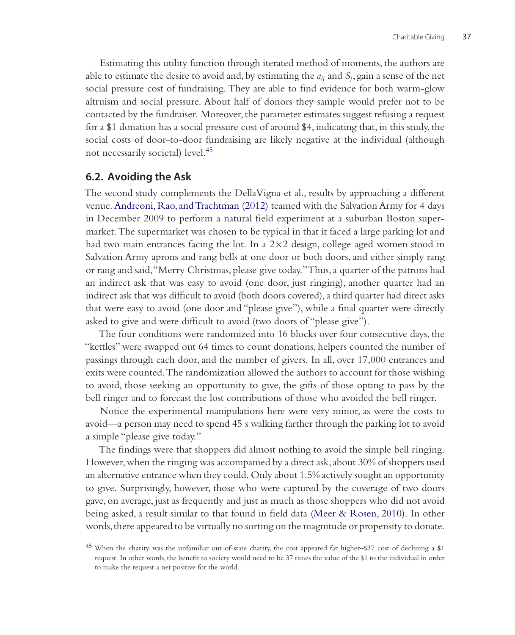Estimating this utility function through iterated method of moments, the authors are able to estimate the desire to avoid and, by estimating the *aij* and *Sj*, gain a sense of the net social pressure cost of fundraising. They are able to find evidence for both warm-glow altruism and social pressure. About half of donors they sample would prefer not to be contacted by the fundraiser. Moreover, the parameter estimates suggest refusing a request for a \$1 donation has a social pressure cost of around \$4, indicating that, in this study, the social costs of door-to-door fundraising are likely negative at the individual (although not necessarily societal) level.<sup>[45](#page-36-1)</sup>

## <span id="page-36-0"></span>**6.2. Avoiding the Ask**

The second study complements the DellaVigna et al., results by approaching a different venue.[Andreoni, Rao, andTrachtman \(2012\)](#page-45-22) teamed with the Salvation Army for 4 days in December 2009 to perform a natural field experiment at a suburban Boston supermarket.The supermarket was chosen to be typical in that it faced a large parking lot and had two main entrances facing the lot. In a  $2\times 2$  design, college aged women stood in Salvation Army aprons and rang bells at one door or both doors, and either simply rang or rang and said,"Merry Christmas, please give today."Thus, a quarter of the patrons had an indirect ask that was easy to avoid (one door, just ringing), another quarter had an indirect ask that was difficult to avoid (both doors covered), a third quarter had direct asks that were easy to avoid (one door and "please give"), while a final quarter were directly asked to give and were difficult to avoid (two doors of "please give").

The four conditions were randomized into 16 blocks over four consecutive days, the "kettles" were swapped out 64 times to count donations, helpers counted the number of passings through each door, and the number of givers. In all, over 17,000 entrances and exits were counted.The randomization allowed the authors to account for those wishing to avoid, those seeking an opportunity to give, the gifts of those opting to pass by the bell ringer and to forecast the lost contributions of those who avoided the bell ringer.

Notice the experimental manipulations here were very minor, as were the costs to avoid—a person may need to spend 45 s walking farther through the parking lot to avoid a simple "please give today."

The findings were that shoppers did almost nothing to avoid the simple bell ringing. However, when the ringing was accompanied by a direct ask, about 30% of shoppers used an alternative entrance when they could. Only about 1.5% actively sought an opportunity to give. Surprisingly, however, those who were captured by the coverage of two doors gave, on average, just as frequently and just as much as those shoppers who did not avoid being asked, a result similar to that found in field data [\(Meer & Rosen, 2010\)](#page-48-16). In other words, there appeared to be virtually no sorting on the magnitude or propensity to donate.

<span id="page-36-1"></span><sup>45</sup> When the charity was the unfamiliar out-of-state charity, the cost appeared far higher–\$37 cost of declining a \$1 request. In other words, the benefit to society would need to be 37 times the value of the \$1 to the individual in order to make the request a net positive for the world.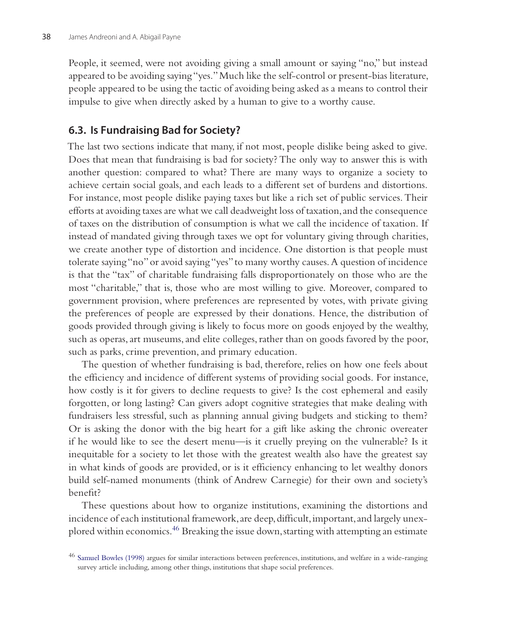People, it seemed, were not avoiding giving a small amount or saying "no," but instead appeared to be avoiding saying "yes."Much like the self-control or present-bias literature, people appeared to be using the tactic of avoiding being asked as a means to control their impulse to give when directly asked by a human to give to a worthy cause.

## <span id="page-37-0"></span>**6.3. Is Fundraising Bad for Society?**

The last two sections indicate that many, if not most, people dislike being asked to give. Does that mean that fundraising is bad for society? The only way to answer this is with another question: compared to what? There are many ways to organize a society to achieve certain social goals, and each leads to a different set of burdens and distortions. For instance, most people dislike paying taxes but like a rich set of public services. Their efforts at avoiding taxes are what we call deadweight loss of taxation, and the consequence of taxes on the distribution of consumption is what we call the incidence of taxation. If instead of mandated giving through taxes we opt for voluntary giving through charities, we create another type of distortion and incidence. One distortion is that people must tolerate saying "no" or avoid saying "yes"to many worthy causes. A question of incidence is that the "tax" of charitable fundraising falls disproportionately on those who are the most "charitable," that is, those who are most willing to give. Moreover, compared to government provision, where preferences are represented by votes, with private giving the preferences of people are expressed by their donations. Hence, the distribution of goods provided through giving is likely to focus more on goods enjoyed by the wealthy, such as operas, art museums, and elite colleges, rather than on goods favored by the poor, such as parks, crime prevention, and primary education.

The question of whether fundraising is bad, therefore, relies on how one feels about the efficiency and incidence of different systems of providing social goods. For instance, how costly is it for givers to decline requests to give? Is the cost ephemeral and easily forgotten, or long lasting? Can givers adopt cognitive strategies that make dealing with fundraisers less stressful, such as planning annual giving budgets and sticking to them? Or is asking the donor with the big heart for a gift like asking the chronic overeater if he would like to see the desert menu—is it cruelly preying on the vulnerable? Is it inequitable for a society to let those with the greatest wealth also have the greatest say in what kinds of goods are provided, or is it efficiency enhancing to let wealthy donors build self-named monuments (think of Andrew Carnegie) for their own and society's benefit?

These questions about how to organize institutions, examining the distortions and incidence of each institutional framework, are deep, difficult, important, and largely unexplored within economics.<sup>46</sup> Breaking the issue down, starting with attempting an estimate

<span id="page-37-1"></span><sup>&</sup>lt;sup>46</sup> [Samuel Bowles \(1998\)](#page-45-23) argues for similar interactions between preferences, institutions, and welfare in a wide-ranging survey article including, among other things, institutions that shape social preferences.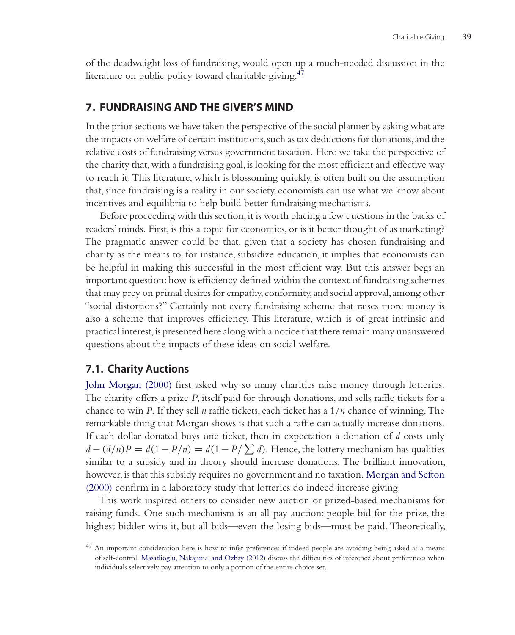of the deadweight loss of fundraising, would open up a much-needed discussion in the literature on public policy toward charitable giving.<sup>47</sup>

## <span id="page-38-0"></span>**7. FUNDRAISING AND THE GIVER'S MIND**

In the prior sections we have taken the perspective of the social planner by asking what are the impacts on welfare of certain institutions, such as tax deductions for donations,and the relative costs of fundraising versus government taxation. Here we take the perspective of the charity that, with a fundraising goal, is looking for the most efficient and effective way to reach it. This literature, which is blossoming quickly, is often built on the assumption that, since fundraising is a reality in our society, economists can use what we know about incentives and equilibria to help build better fundraising mechanisms.

Before proceeding with this section, it is worth placing a few questions in the backs of readers' minds. First, is this a topic for economics, or is it better thought of as marketing? The pragmatic answer could be that, given that a society has chosen fundraising and charity as the means to, for instance, subsidize education, it implies that economists can be helpful in making this successful in the most efficient way. But this answer begs an important question: how is efficiency defined within the context of fundraising schemes that may prey on primal desires for empathy, conformity, and social approval, among other "social distortions?" Certainly not every fundraising scheme that raises more money is also a scheme that improves efficiency. This literature, which is of great intrinsic and practical interest,is presented here along with a notice that there remain many unanswered questions about the impacts of these ideas on social welfare.

## <span id="page-38-1"></span>**7.1. Charity Auctions**

[John Morgan \(2000\)](#page-48-17) first asked why so many charities raise money through lotteries. The charity offers a prize *P*, itself paid for through donations, and sells raffle tickets for a chance to win *P*. If they sell *n* raffle tickets, each ticket has a 1/*n* chance of winning.The remarkable thing that Morgan shows is that such a raffle can actually increase donations. If each dollar donated buys one ticket, then in expectation a donation of *d* costs only  $d - (d/n)P = d(1 - P/n) = d(1 - P/\sum d)$ . Hence, the lottery mechanism has qualities similar to a subsidy and in theory should increase donations. The brilliant innovation, however, is that this subsidy requires no government and no taxation. Morgan and Sefton (2000) confirm in a laboratory study that lotteries do indeed increase giving.

This work inspired others to consider new auction or prized-based mechanisms for raising funds. One such mechanism is an all-pay auction: people bid for the prize, the highest bidder wins it, but all bids—even the losing bids—must be paid. Theoretically,

<span id="page-38-2"></span><sup>&</sup>lt;sup>47</sup> An important consideration here is how to infer preferences if indeed people are avoiding being asked as a means of self-control. [Masatlioglu, Nakajima, and Ozbay \(2012\)](#page-48-18) discuss the difficulties of inference about preferences when individuals selectively pay attention to only a portion of the entire choice set.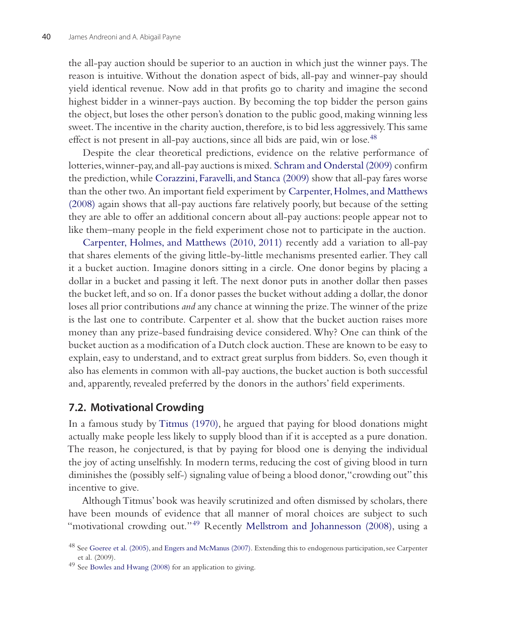the all-pay auction should be superior to an auction in which just the winner pays. The reason is intuitive. Without the donation aspect of bids, all-pay and winner-pay should yield identical revenue. Now add in that profits go to charity and imagine the second highest bidder in a winner-pays auction. By becoming the top bidder the person gains the object, but loses the other person's donation to the public good, making winning less sweet. The incentive in the charity auction, therefore, is to bid less aggressively. This same effect is not present in all-pay auctions, since all bids are paid, win or lose.<sup>48</sup>

Despite the clear theoretical predictions, evidence on the relative performance of lotteries,winner-pay,and all-pay auctions is mixed. [Schram and Onderstal \(2009\)](#page-48-19) confirm the prediction, while [Corazzini, Faravelli, and Stanca \(2009\)](#page-46-14) show that all-pay fares worse than the other two. An important field experiment by Carpenter,Holmes, and Matthews (2008) again shows that all-pay auctions fare relatively poorly, but because of the setting they are able to offer an additional concern about all-pay auctions: people appear not to like them–many people in the field experiment chose not to participate in the auction.

Carpenter, Holmes, and Matthews (2010, 2011) recently add a variation to all-pay that shares elements of the giving little-by-little mechanisms presented earlier. They call it a bucket auction. Imagine donors sitting in a circle. One donor begins by placing a dollar in a bucket and passing it left. The next donor puts in another dollar then passes the bucket left, and so on. If a donor passes the bucket without adding a dollar, the donor loses all prior contributions *and* any chance at winning the prize. The winner of the prize is the last one to contribute. Carpenter et al. show that the bucket auction raises more money than any prize-based fundraising device considered.Why? One can think of the bucket auction as a modification of a Dutch clock auction.These are known to be easy to explain, easy to understand, and to extract great surplus from bidders. So, even though it also has elements in common with all-pay auctions, the bucket auction is both successful and, apparently, revealed preferred by the donors in the authors' field experiments.

#### <span id="page-39-0"></span>**7.2. Motivational Crowding**

In a famous study by [Titmus \(1970\),](#page-49-9) he argued that paying for blood donations might actually make people less likely to supply blood than if it is accepted as a pure donation. The reason, he conjectured, is that by paying for blood one is denying the individual the joy of acting unselfishly. In modern terms, reducing the cost of giving blood in turn diminishes the (possibly self-) signaling value of being a blood donor,"crowding out"this incentive to give.

Although Titmus' book was heavily scrutinized and often dismissed by scholars, there have been mounds of evidence that all manner of moral choices are subject to such "motivational crowding out."[49](#page-39-2) Recently [Mellstrom and Johannesson \(2008\),](#page-48-20) using a

<span id="page-39-2"></span><sup>49</sup> See [Bowles and Hwang \(2008\)](#page-45-24) for an application to giving.

<span id="page-39-1"></span><sup>48</sup> See [Goeree et al. \(2005\),](#page-47-22) and [Engers and McManus \(2007\).](#page-46-15) Extending this to endogenous participation, see Carpenter et al. (2009).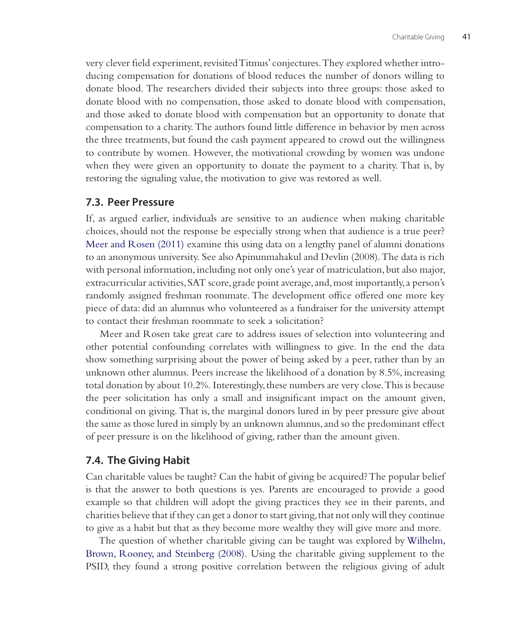very clever field experiment, revisitedTitmus' conjectures.They explored whether introducing compensation for donations of blood reduces the number of donors willing to donate blood. The researchers divided their subjects into three groups: those asked to donate blood with no compensation, those asked to donate blood with compensation, and those asked to donate blood with compensation but an opportunity to donate that compensation to a charity. The authors found little difference in behavior by men across the three treatments, but found the cash payment appeared to crowd out the willingness to contribute by women. However, the motivational crowding by women was undone when they were given an opportunity to donate the payment to a charity. That is, by restoring the signaling value, the motivation to give was restored as well.

#### <span id="page-40-0"></span>**7.3. Peer Pressure**

If, as argued earlier, individuals are sensitive to an audience when making charitable choices, should not the response be especially strong when that audience is a true peer? [Meer and Rosen \(2011\)](#page-48-21) examine this using data on a lengthy panel of alumni donations to an anonymous university. See also Apinunmahakul and Devlin (2008).The data is rich with personal information, including not only one's year of matriculation, but also major, extracurricular activities,SAT score,grade point average, and,most importantly, a person's randomly assigned freshman roommate. The development office offered one more key piece of data: did an alumnus who volunteered as a fundraiser for the university attempt to contact their freshman roommate to seek a solicitation?

Meer and Rosen take great care to address issues of selection into volunteering and other potential confounding correlates with willingness to give. In the end the data show something surprising about the power of being asked by a peer, rather than by an unknown other alumnus. Peers increase the likelihood of a donation by 8.5%, increasing total donation by about 10.2%. Interestingly,these numbers are very close.This is because the peer solicitation has only a small and insignificant impact on the amount given, conditional on giving. That is, the marginal donors lured in by peer pressure give about the same as those lured in simply by an unknown alumnus, and so the predominant effect of peer pressure is on the likelihood of giving, rather than the amount given.

#### <span id="page-40-1"></span>**7.4. The Giving Habit**

Can charitable values be taught? Can the habit of giving be acquired?The popular belief is that the answer to both questions is yes. Parents are encouraged to provide a good example so that children will adopt the giving practices they see in their parents, and charities believe that if they can get a donor to start giving,that not only will they continue to give as a habit but that as they become more wealthy they will give more and more.

The question of whether charitable giving can be taught was explored by Wilhelm, Brown, Rooney, and Steinberg (2008)[.](#page-49-10) [Using](#page-49-10) [the](#page-49-10) [charitable](#page-49-10) [giving](#page-49-10) [suppleme](#page-49-10)nt to the PSID, they found a strong positive correlation between the religious giving of adult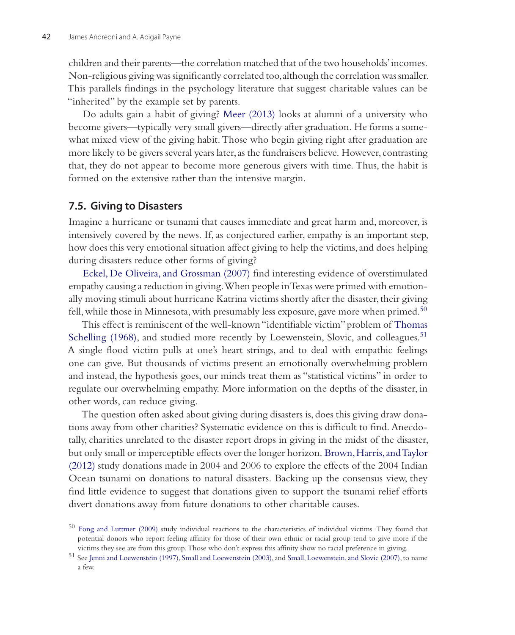children and their parents—the correlation matched that of the two households'incomes. Non-religious giving was significantly correlated too,although the correlation was smaller. This parallels findings in the psychology literature that suggest charitable values can be "inherited" by the example set by parents.

Do adults gain a habit of giving? [Meer \(2013\)](#page-48-22) looks at alumni of a university who become givers—typically very small givers—directly after graduation. He forms a somewhat mixed view of the giving habit. Those who begin giving right after graduation are more likely to be givers several years later, as the fundraisers believe. However, contrasting that, they do not appear to become more generous givers with time. Thus, the habit is formed on the extensive rather than the intensive margin.

## <span id="page-41-0"></span>**7.5. Giving to Disasters**

Imagine a hurricane or tsunami that causes immediate and great harm and, moreover, is intensively covered by the news. If, as conjectured earlier, empathy is an important step, how does this very emotional situation affect giving to help the victims, and does helping during disasters reduce other forms of giving?

[Eckel, De Oliveira, and Grossman \(2007\)](#page-46-16) find interesting evidence of overstimulated empathy causing a reduction in giving.When people inTexas were primed with emotionally moving stimuli about hurricane Katrina victims shortly after the disaster, their giving fell, while those in Minnesota, with presumably less exposure, gave more when primed.<sup>50</sup>

This effect is reminiscent of the well-known "identifiable victim" problem of Thomas Schelling  $(1968)$ , and studied more recently by Loewenstein, Slovic, and colleagues.<sup>51</sup> A single flood victim pulls at one's heart strings, and to deal with empathic feelings one can give. But thousands of victims present an emotionally overwhelming problem and instead, the hypothesis goes, our minds treat them as "statistical victims" in order to regulate our overwhelming empathy. More information on the depths of the disaster, in other words, can reduce giving.

The question often asked about giving during disasters is, does this giving draw donations away from other charities? Systematic evidence on this is difficult to find. Anecdotally, charities unrelated to the disaster report drops in giving in the midst of the disaster, but only small or imperceptible effects over the longer horizon. Brown,Harris, andTaylor (2012) study donations made in 2004 and 2006 to explore the effects of the 2004 Indian Ocean tsunami on donations to natural disasters. Backing up the consensus view, they find little evidence to suggest that donations given to support the tsunami relief efforts divert donations away from future donations to other charitable causes.

<span id="page-41-1"></span><sup>&</sup>lt;sup>50</sup> [Fong and Luttmer \(2009\)](#page-47-23) study individual reactions to the characteristics of individual victims. They found that potential donors who report feeling affinity for those of their own ethnic or racial group tend to give more if the victims they see are from this group. Those who don't express this affinity show no racial preference in giving.

<span id="page-41-2"></span><sup>51</sup> See [Jenni and Loewenstein \(1997\),](#page-47-24) [Small and Loewenstein \(2003\),](#page-48-24) and [Small, Loewenstein, and Slovic \(2007\),](#page-49-11) to name a few.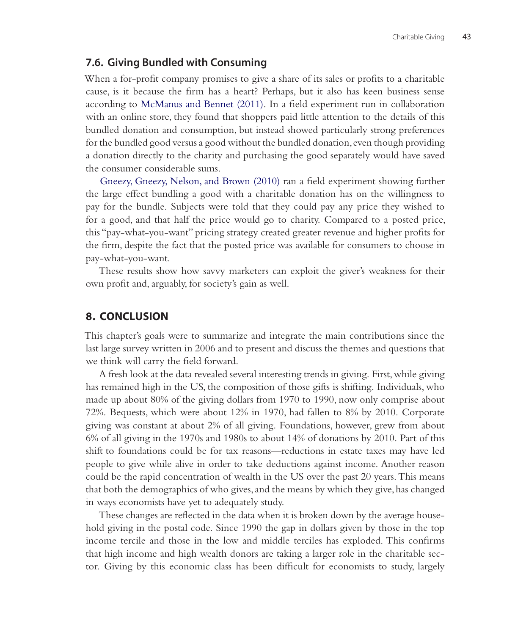## <span id="page-42-0"></span>**7.6. Giving Bundled with Consuming**

When a for-profit company promises to give a share of its sales or profits to a charitable cause, is it because the firm has a heart? Perhaps, but it also has keen business sense according to [McManus and Bennet \(2011\).](#page-48-25) In a field experiment run in collaboration with an online store, they found that shoppers paid little attention to the details of this bundled donation and consumption, but instead showed particularly strong preferences for the bundled good versus a good without the bundled donation, even though providing a donation directly to the charity and purchasing the good separately would have saved the consumer considerable sums.

[Gneezy, Gneezy, Nelson, and Brown \(2010\)](#page-47-25) ran a field experiment showing further the large effect bundling a good with a charitable donation has on the willingness to pay for the bundle. Subjects were told that they could pay any price they wished to for a good, and that half the price would go to charity. Compared to a posted price, this "pay-what-you-want" pricing strategy created greater revenue and higher profits for the firm, despite the fact that the posted price was available for consumers to choose in pay-what-you-want.

These results show how savvy marketers can exploit the giver's weakness for their own profit and, arguably, for society's gain as well.

## <span id="page-42-1"></span>**8. CONCLUSION**

This chapter's goals were to summarize and integrate the main contributions since the last large survey written in 2006 and to present and discuss the themes and questions that we think will carry the field forward.

A fresh look at the data revealed several interesting trends in giving. First,while giving has remained high in the US, the composition of those gifts is shifting. Individuals, who made up about 80% of the giving dollars from 1970 to 1990, now only comprise about 72%. Bequests, which were about 12% in 1970, had fallen to 8% by 2010. Corporate giving was constant at about 2% of all giving. Foundations, however, grew from about 6% of all giving in the 1970s and 1980s to about 14% of donations by 2010. Part of this shift to foundations could be for tax reasons—reductions in estate taxes may have led people to give while alive in order to take deductions against income. Another reason could be the rapid concentration of wealth in the US over the past 20 years. This means that both the demographics of who gives, and the means by which they give, has changed in ways economists have yet to adequately study.

These changes are reflected in the data when it is broken down by the average household giving in the postal code. Since 1990 the gap in dollars given by those in the top income tercile and those in the low and middle terciles has exploded. This confirms that high income and high wealth donors are taking a larger role in the charitable sector. Giving by this economic class has been difficult for economists to study, largely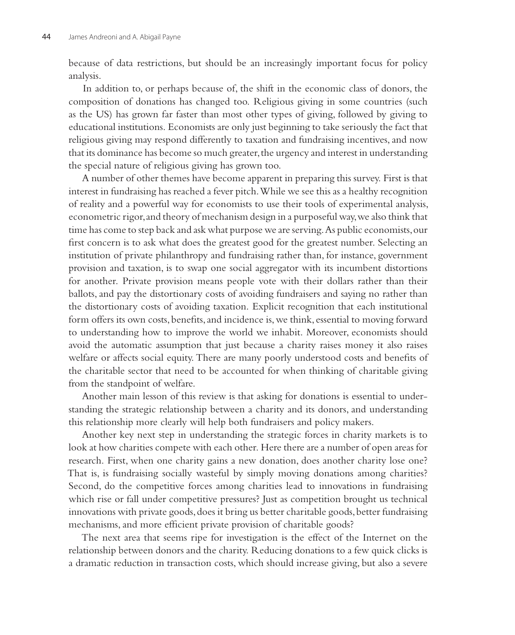because of data restrictions, but should be an increasingly important focus for policy analysis.

In addition to, or perhaps because of, the shift in the economic class of donors, the composition of donations has changed too. Religious giving in some countries (such as the US) has grown far faster than most other types of giving, followed by giving to educational institutions. Economists are only just beginning to take seriously the fact that religious giving may respond differently to taxation and fundraising incentives, and now that its dominance has become so much greater, the urgency and interest in understanding the special nature of religious giving has grown too.

A number of other themes have become apparent in preparing this survey. First is that interest in fundraising has reached a fever pitch.While we see this as a healthy recognition of reality and a powerful way for economists to use their tools of experimental analysis, econometric rigor,and theory of mechanism design in a purposeful way,we also think that time has come to step back and ask what purpose we are serving.As public economists,our first concern is to ask what does the greatest good for the greatest number. Selecting an institution of private philanthropy and fundraising rather than, for instance, government provision and taxation, is to swap one social aggregator with its incumbent distortions for another. Private provision means people vote with their dollars rather than their ballots, and pay the distortionary costs of avoiding fundraisers and saying no rather than the distortionary costs of avoiding taxation. Explicit recognition that each institutional form offers its own costs, benefits, and incidence is, we think, essential to moving forward to understanding how to improve the world we inhabit. Moreover, economists should avoid the automatic assumption that just because a charity raises money it also raises welfare or affects social equity. There are many poorly understood costs and benefits of the charitable sector that need to be accounted for when thinking of charitable giving from the standpoint of welfare.

Another main lesson of this review is that asking for donations is essential to understanding the strategic relationship between a charity and its donors, and understanding this relationship more clearly will help both fundraisers and policy makers.

Another key next step in understanding the strategic forces in charity markets is to look at how charities compete with each other. Here there are a number of open areas for research. First, when one charity gains a new donation, does another charity lose one? That is, is fundraising socially wasteful by simply moving donations among charities? Second, do the competitive forces among charities lead to innovations in fundraising which rise or fall under competitive pressures? Just as competition brought us technical innovations with private goods, does it bring us better charitable goods, better fundraising mechanisms, and more efficient private provision of charitable goods?

The next area that seems ripe for investigation is the effect of the Internet on the relationship between donors and the charity. Reducing donations to a few quick clicks is a dramatic reduction in transaction costs, which should increase giving, but also a severe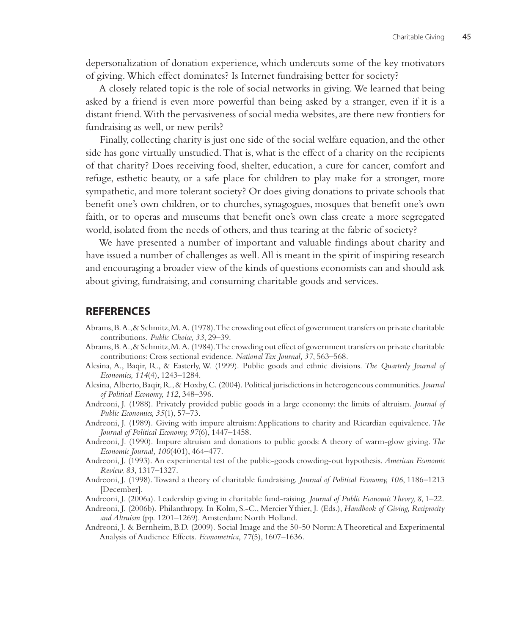depersonalization of donation experience, which undercuts some of the key motivators of giving.Which effect dominates? Is Internet fundraising better for society?

A closely related topic is the role of social networks in giving.We learned that being asked by a friend is even more powerful than being asked by a stranger, even if it is a distant friend.With the pervasiveness of social media websites, are there new frontiers for fundraising as well, or new perils?

Finally, collecting charity is just one side of the social welfare equation, and the other side has gone virtually unstudied. That is, what is the effect of a charity on the recipients of that charity? Does receiving food, shelter, education, a cure for cancer, comfort and refuge, esthetic beauty, or a safe place for children to play make for a stronger, more sympathetic, and more tolerant society? Or does giving donations to private schools that benefit one's own children, or to churches, synagogues, mosques that benefit one's own faith, or to operas and museums that benefit one's own class create a more segregated world, isolated from the needs of others, and thus tearing at the fabric of society?

We have presented a number of important and valuable findings about charity and have issued a number of challenges as well. All is meant in the spirit of inspiring research and encouraging a broader view of the kinds of questions economists can and should ask about giving, fundraising, and consuming charitable goods and services.

### <span id="page-44-0"></span>**REFERENCES**

- Abrams,B.A.,& Schmitz,M.A. (1978).The crowding out effect of government transfers on private charitable contributions. *Public Choice, 33*, 29–39.
- Abrams,B.A.,& Schmitz,M.A. (1984).The crowding out effect of government transfers on private charitable contributions: Cross sectional evidence. *NationalTax Journal, 37*, 563–568.
- Alesina, A., Baqir, R., & Easterly, W. (1999). Public goods and ethnic divisions. *The Quarterly Journal of Economics, 114*(4), 1243–1284.
- Alesina, Alberto,Baqir,R.,& Hoxby,C. (2004). Political jurisdictions in heterogeneous communities. *Journal of Political Economy, 112*, 348–396.
- <span id="page-44-3"></span>Andreoni, J. (1988). Privately provided public goods in a large economy: the limits of altruism. *Journal of Public Economics, 35*(1), 57–73.
- <span id="page-44-2"></span>Andreoni, J. (1989). Giving with impure altruism: Applications to charity and Ricardian equivalence. *The Journal of Political Economy, 97*(6), 1447–1458.
- Andreoni, J. (1990). Impure altruism and donations to public goods: A theory of warm-glow giving. *The Economic Journal, 100*(401), 464–477.
- <span id="page-44-4"></span>Andreoni, J. (1993). An experimental test of the public-goods crowding-out hypothesis. *American Economic Review, 83*, 1317–1327.
- <span id="page-44-5"></span>Andreoni, J. (1998). Toward a theory of charitable fundraising. *Journal of Political Economy, 106*, 1186–1213 [December].
- <span id="page-44-6"></span>Andreoni, J. (2006a). Leadership giving in charitable fund-raising. *Journal of Public EconomicTheory, 8*, 1–22.
- <span id="page-44-1"></span>Andreoni, J. (2006b). Philanthropy. In Kolm, S.-C., Mercier Ythier, J. (Eds.), *Handbook of Giving, Reciprocity and Altruism* (pp. 1201–1269). Amsterdam: North Holland.
- <span id="page-44-7"></span>Andreoni, J. & Bernheim, B.D. (2009). Social Image and the 50-50 Norm:A Theoretical and Experimental Analysis of Audience Effects. *Econometrica, 77*(5), 1607–1636.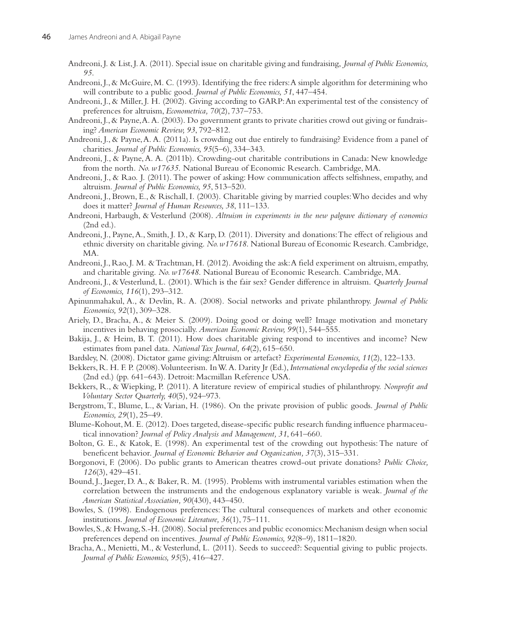- <span id="page-45-4"></span>Andreoni, J. & List, J. A. (2011). Special issue on charitable giving and fundraising, *Journal of Public Economics, 95*.
- <span id="page-45-12"></span>Andreoni, J., & McGuire, M. C. (1993). Identifying the free riders: A simple algorithm for determining who will contribute to a public good. *Journal of Public Economics, 51*, 447–454.
- <span id="page-45-8"></span>Andreoni, J., & Miller, J. H. (2002). Giving according to GARP:An experimental test of the consistency of preferences for altruism, *Econometrica, 70*(2), 737–753.
- <span id="page-45-5"></span>Andreoni, J., & Payne, A. A. (2003). Do government grants to private charities crowd out giving or fundraising? *American Economic Review, 93*, 792–812.
- <span id="page-45-13"></span>Andreoni, J., & Payne,A. A. (2011a). Is crowding out due entirely to fundraising? Evidence from a panel of charities. *Journal of Public Economics, 95*(5–6), 334–343.
- <span id="page-45-17"></span>Andreoni, J., & Payne, A. A. (2011b). Crowding-out charitable contributions in Canada: New knowledge from the north. *No. w17635*. National Bureau of Economic Research. Cambridge, MA.
- <span id="page-45-20"></span>Andreoni, J., & Rao. J. (2011). The power of asking: How communication affects selfishness, empathy, and altruism. *Journal of Public Economics, 95*, 513–520.
- <span id="page-45-10"></span>Andreoni, J., Brown, E., & Rischall, I. (2003). Charitable giving by married couples:Who decides and why does it matter? *Journal of Human Resources, 38*, 111–133.
- <span id="page-45-1"></span>Andreoni, Harbaugh, & Vesterlund (2008). *Altruism in experiments in the new palgrave dictionary of economics* (2nd ed.).
- <span id="page-45-21"></span>Andreoni, J., Payne,A., Smith, J. D., & Karp, D. (2011). Diversity and donations:The effect of religious and ethnic diversity on charitable giving. *No.w17618*. National Bureau of Economic Research. Cambridge, MA.
- <span id="page-45-22"></span>Andreoni, J., Rao, J. M. & Trachtman, H. (2012). Avoiding the ask: A field experiment on altruism, empathy, and charitable giving. *No. w17648*. National Bureau of Economic Research. Cambridge, MA.
- <span id="page-45-0"></span>Andreoni, J., &Vesterlund, L. (2001).Which is the fair sex? Gender difference in altruism. *Quarterly Journal of Economics, 116*(1), 293–312.
- Apinunmahakul, A., & Devlin, R. A. (2008). Social networks and private philanthropy. *Journal of Public Economics, 92*(1), 309–328.
- <span id="page-45-19"></span>Ariely, D., Bracha, A., & Meier S. (2009). Doing good or doing well? Image motivation and monetary incentives in behaving prosocially. *American Economic Review, 99*(1), 544–555.
- <span id="page-45-9"></span>Bakija, J., & Heim, B. T. (2011). How does charitable giving respond to incentives and income? New estimates from panel data. *NationalTax Journal, 64*(2), 615–650.
- <span id="page-45-18"></span>Bardsley, N. (2008). Dictator game giving:Altruism or artefact? *Experimental Economics, 11*(2), 122–133.
- <span id="page-45-2"></span>Bekkers,R. H. F. P. (2008).Volunteerism. InW. A. Darity Jr (Ed.),*International encyclopedia of the social sciences* (2nd ed.) (pp. 641–643). Detroit: Macmillan Reference USA.
- <span id="page-45-3"></span>Bekkers, R., & Wiepking, P. (2011). A literature review of empirical studies of philanthropy. *Nonprofit and Voluntary Sector Quarterly, 40*(5), 924–973.
- <span id="page-45-6"></span>Bergstrom,T., Blume, L., & Varian, H. (1986). On the private provision of public goods. *Journal of Public Economics, 29*(1), 25–49.
- <span id="page-45-16"></span>Blume-Kohout,M. E. (2012). Does targeted, disease-specific public research funding influence pharmaceutical innovation? *Journal of Policy Analysis and Management, 31*, 641–660.
- <span id="page-45-7"></span>Bolton, G. E., & Katok, E. (1998). An experimental test of the crowding out hypothesis: The nature of beneficent behavior. *Journal of Economic Behavior and Organization, 37*(3), 315–331.
- <span id="page-45-15"></span>Borgonovi, F. (2006). Do public grants to American theatres crowd-out private donations? *Public Choice, 126*(3), 429–451.
- <span id="page-45-14"></span>Bound, J., Jaeger, D. A., & Baker, R. M. (1995). Problems with instrumental variables estimation when the correlation between the instruments and the endogenous explanatory variable is weak. *Journal of the American Statistical Association, 90*(430), 443–450.
- <span id="page-45-23"></span>Bowles, S. (1998). Endogenous preferences: The cultural consequences of markets and other economic institutions. *Journal of Economic Literature, 36*(1), 75–111.
- <span id="page-45-24"></span>Bowles,S.,& Hwang,S.-H. (2008). Social preferences and public economics:Mechanism design when social preferences depend on incentives. *Journal of Public Economics, 92*(8–9), 1811–1820.
- <span id="page-45-11"></span>Bracha, A., Menietti, M., & Vesterlund, L. (2011). Seeds to succeed?: Sequential giving to public projects. *Journal of Public Economics, 95*(5), 416–427.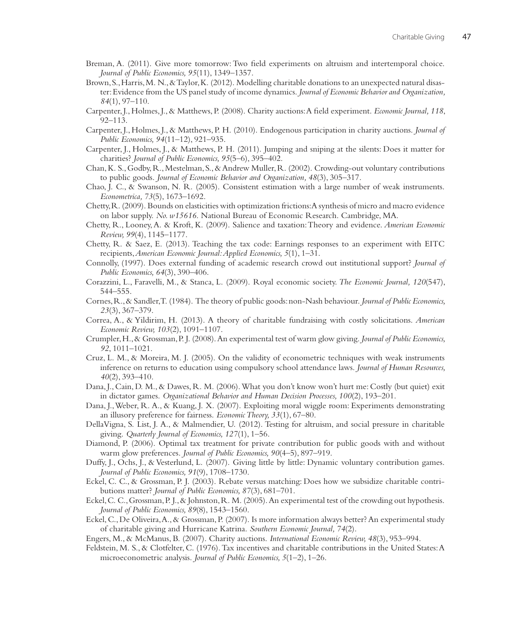- <span id="page-46-4"></span>Breman, A. (2011). Give more tomorrow: Two field experiments on altruism and intertemporal choice. *Journal of Public Economics, 95*(11), 1349–1357.
- Brown,S.,Harris,M. N.,&Taylor,K. (2012). Modelling charitable donations to an unexpected natural disaster:Evidence from the US panel study of income dynamics. *Journal of Economic Behavior and Organization, 84*(1), 97–110.
- Carpenter, J., Holmes, J., & Matthews, P. (2008). Charity auctions:A field experiment. *Economic Journal, 118*, 92–113.
- Carpenter, J., Holmes, J., & Matthews, P. H. (2010). Endogenous participation in charity auctions. *Journal of Public Economics, 94*(11–12), 921–935.
- Carpenter, J., Holmes, J., & Matthews, P. H. (2011). Jumping and sniping at the silents: Does it matter for charities? *Journal of Public Economics, 95*(5–6), 395–402.
- Chan, K. S., Godby, R., Mestelman, S., & Andrew Muller, R. (2002). Crowding-out voluntary contributions to public goods. *Journal of Economic Behavior and Organization, 48*(3), 305–317.
- Chao, J. C., & Swanson, N. R. (2005). Consistent estimation with a large number of weak instruments. *Econometrica, 73*(5), 1673–1692.
- Chetty,R. (2009). Bounds on elasticities with optimization frictions:A synthesis of micro and macro evidence on labor supply. *No. w15616*. National Bureau of Economic Research. Cambridge, MA.
- <span id="page-46-6"></span>Chetty, R., Looney,A. & Kroft, K. (2009). Salience and taxation:Theory and evidence. *American Economic Review, 99*(4), 1145–1177.
- <span id="page-46-5"></span>Chetty, R. & Saez, E. (2013). Teaching the tax code: Earnings responses to an experiment with EITC recipients,*American Economic Journal:Applied Economics, 5*(1), 1–31.
- <span id="page-46-8"></span>Connolly, (1997). Does external funding of academic research crowd out institutional support? *Journal of Public Economics, 64*(3), 390–406.
- <span id="page-46-14"></span>Corazzini, L., Faravelli, M., & Stanca, L. (2009). Royal economic society. *The Economic Journal, 120*(547), 544–555.
- <span id="page-46-1"></span>Cornes,R.,& Sandler,T. (1984). The theory of public goods:non-Nash behaviour. *Journal of Public Economics, 23*(3), 367–379.
- Correa, A., & Yildirim, H. (2013). A theory of charitable fundraising with costly solicitations. *American Economic Review, 103*(2), 1091–1107.
- <span id="page-46-0"></span>Crumpler,H.,& Grossman,P. J. (2008).An experimental test of warm glow giving. *Journal of Public Economics, 92*, 1011–1021.
- <span id="page-46-7"></span>Cruz, L. M., & Moreira, M. J. (2005). On the validity of econometric techniques with weak instruments inference on returns to education using compulsory school attendance laws. *Journal of Human Resources, 40*(2), 393–410.
- <span id="page-46-10"></span>Dana, J., Cain, D. M., & Dawes, R. M. (2006).What you don't know won't hurt me: Costly (but quiet) exit in dictator games. *Organizational Behavior and Human Decision Processes, 100*(2), 193–201.
- <span id="page-46-11"></span>Dana, J.,Weber, R. A., & Kuang, J. X. (2007). Exploiting moral wiggle room: Experiments demonstrating an illusory preference for fairness. *EconomicTheory, 33*(1), 67–80.
- <span id="page-46-13"></span>DellaVigna, S. List, J. A., & Malmendier, U. (2012). Testing for altruism, and social pressure in charitable giving. *Quarterly Journal of Economics, 127*(1), 1–56.
- <span id="page-46-12"></span>Diamond, P. (2006). Optimal tax treatment for private contribution for public goods with and without warm glow preferences. *Journal of Public Economics, 90*(4–5), 897–919.
- <span id="page-46-9"></span>Duffy, J., Ochs, J., & Vesterlund, L. (2007). Giving little by little: Dynamic voluntary contribution games. *Journal of Public Economics, 91*(9), 1708–1730.
- <span id="page-46-3"></span>Eckel, C. C., & Grossman, P. J. (2003). Rebate versus matching: Does how we subsidize charitable contributions matter? *Journal of Public Economics, 87*(3), 681–701.
- <span id="page-46-2"></span>Eckel, C. C., Grossman, P. J., & Johnston, R. M. (2005). An experimental test of the crowding out hypothesis. *Journal of Public Economics, 89*(8), 1543–1560.
- <span id="page-46-16"></span>Eckel, C., De Oliveira,A., & Grossman, P. (2007). Is more information always better? An experimental study of charitable giving and Hurricane Katrina. *Southern Economic Journal, 74*(2).
- <span id="page-46-15"></span>Engers, M., & McManus, B. (2007). Charity auctions. *International Economic Review, 48*(3), 953–994.
- Feldstein, M. S., & Clotfelter, C. (1976). Tax incentives and charitable contributions in the United States:A microeconometric analysis. *Journal of Public Economics, 5*(1–2), 1–26.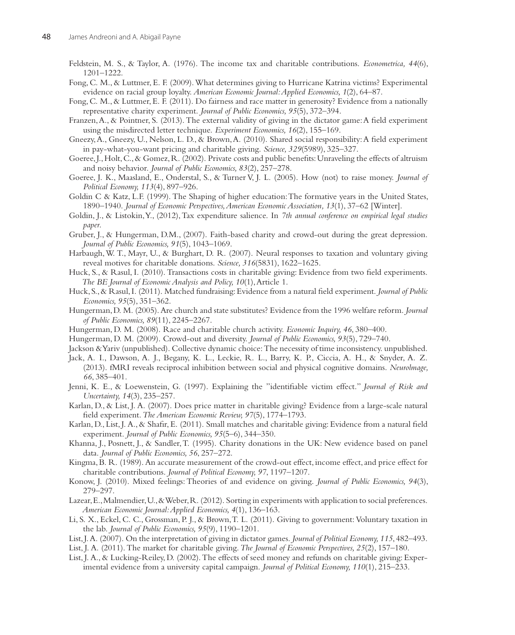- <span id="page-47-1"></span>Feldstein, M. S., & Taylor, A. (1976). The income tax and charitable contributions. *Econometrica, 44*(6), 1201–1222.
- <span id="page-47-23"></span>Fong, C. M., & Luttmer, E. F. (2009).What determines giving to Hurricane Katrina victims? Experimental evidence on racial group loyalty. *American Economic Journal:Applied Economics, 1*(2), 64–87.
- <span id="page-47-21"></span>Fong, C. M., & Luttmer, E. F. (2011). Do fairness and race matter in generosity? Evidence from a nationally representative charity experiment. *Journal of Public Economics, 95*(5), 372–394.
- Franzen, A., & Pointner, S. (2013). The external validity of giving in the dictator game: A field experiment using the misdirected letter technique. *Experiment Economics, 16*(2), 155–169.
- <span id="page-47-25"></span>Gneezy, A., Gneezy, U., Nelson, L. D., & Brown, A. (2010). Shared social responsibility: A field experiment in pay-what-you-want pricing and charitable giving. *Science, 329*(5989), 325–327.
- <span id="page-47-3"></span>Goeree, J., Holt, C., & Gomez, R. (2002). Private costs and public benefits: Unraveling the effects of altruism and noisy behavior. *Journal of Public Economics, 83*(2), 257–278.
- <span id="page-47-22"></span>Goeree, J. K., Maasland, E., Onderstal, S., & Turner V, J. L. (2005). How (not) to raise money. *Journal of Political Economy, 113*(4), 897–926.
- <span id="page-47-16"></span>Goldin C & Katz, L.F. (1999). The Shaping of higher education:The formative years in the United States, 1890–1940. *Journal of Economic Perspectives,American Economic Association, 13*(1), 37–62 [Winter].
- <span id="page-47-9"></span>Goldin, J., & Listokin,Y., (2012),Tax expenditure salience. In *7th annual conference on empirical legal studies paper*.
- <span id="page-47-12"></span>Gruber, J., & Hungerman, D.M., (2007). Faith-based charity and crowd-out during the great depression. *Journal of Public Economics, 91*(5), 1043–1069.
- Harbaugh,W. T., Mayr, U., & Burghart, D. R. (2007). Neural responses to taxation and voluntary giving reveal motives for charitable donations. *Science, 316*(5831), 1622–1625.
- <span id="page-47-14"></span>Huck, S., & Rasul, I. (2010). Transactions costs in charitable giving: Evidence from two field experiments. *The BE Journal of Economic Analysis and Policy, 10*(1),Article 1.
- <span id="page-47-8"></span>Huck, S., & Rasul, I. (2011). Matched fundraising: Evidence from a natural field experiment. *Journal of Public Economics, 95*(5), 351–362.
- <span id="page-47-11"></span>Hungerman,D. M. (2005). Are church and state substitutes? Evidence from the 1996 welfare reform. *Journal of Public Economics, 89*(11), 2245–2267.
- <span id="page-47-18"></span>Hungerman, D. M. (2008). Race and charitable church activity. *Economic Inquiry, 46*, 380–400.
- <span id="page-47-19"></span>Hungerman, D. M. (2009). Crowd-out and diversity. *Journal of Public Economics, 93*(5), 729–740.
- <span id="page-47-4"></span>Jackson &Yariv (unpublished). Collective dynamic choice: The necessity of time inconsistency. unpublished.
- <span id="page-47-17"></span>Jack, A. I., Dawson, A. J., Begany, K. L., Leckie, R. L., Barry, K. P., Ciccia, A. H., & Snyder, A. Z. (2013). fMRI reveals reciprocal inhibition between social and physical cognitive domains. *Neurolmage, 66*, 385–401.
- <span id="page-47-24"></span>Jenni, K. E., & Loewenstein, G. (1997). Explaining the "identifiable victim effect." *Journal of Risk and Uncertainty, 14*(3), 235–257.
- <span id="page-47-5"></span>Karlan, D., & List, J. A. (2007). Does price matter in charitable giving? Evidence from a large-scale natural field experiment.*The American Economic Review, 97*(5), 1774–1793.
- <span id="page-47-6"></span>Karlan, D., List, J. A., & Shafir, E. (2011). Small matches and charitable giving: Evidence from a natural field experiment. *Journal of Public Economics, 95*(5–6), 344–350.
- <span id="page-47-13"></span>Khanna, J., Posnett, J., & Sandler,T. (1995). Charity donations in the UK: New evidence based on panel data. *Journal of Public Economics, 56*, 257–272.
- <span id="page-47-10"></span>Kingma, B. R. (1989). An accurate measurement of the crowd-out effect, income effect, and price effect for charitable contributions. *Journal of Political Economy, 97*, 1197–1207.
- <span id="page-47-2"></span>Konow, J. (2010). Mixed feelings: Theories of and evidence on giving. *Journal of Public Economics, 94*(3), 279–297.
- <span id="page-47-20"></span>Lazear,E.,Malmendier,U.,&Weber,R. (2012). Sorting in experiments with application to social preferences. *American Economic Journal:Applied Economics, 4*(1), 136–163.
- Li, S. X., Eckel, C. C., Grossman, P. J., & Brown,T. L. (2011). Giving to government: Voluntary taxation in the lab. *Journal of Public Economics, 95*(9), 1190–1201.
- <span id="page-47-15"></span>List, J. A. (2007). On the interpretation of giving in dictator games. *Journal of Political Economy, 115*,482–493.
- <span id="page-47-0"></span>List, J. A. (2011). The market for charitable giving.*The Journal of Economic Perspectives, 25*(2), 157–180.
- <span id="page-47-7"></span>List, J. A., & Lucking-Reiley, D. (2002).The effects of seed money and refunds on charitable giving: Experimental evidence from a university capital campaign. *Journal of Political Economy, 110*(1), 215–233.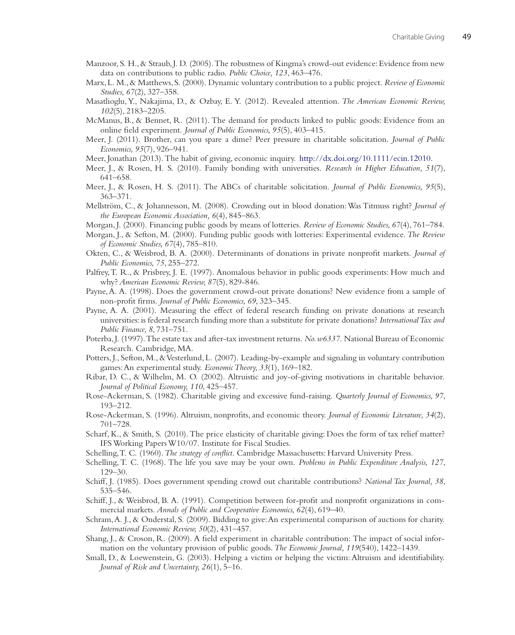- <span id="page-48-6"></span>Manzoor, S. H., & Straub, J. D. (2005).The robustness of Kingma's crowd-out evidence: Evidence from new data on contributions to public radio. *Public Choice, 123*, 463–476.
- <span id="page-48-11"></span>Marx, L. M., & Matthews, S. (2000). Dynamic voluntary contribution to a public project. *Review of Economic Studies, 67*(2), 327–358.
- <span id="page-48-18"></span>Masatlioglu, Y., Nakajima, D., & Ozbay, E. Y. (2012). Revealed attention. *The American Economic Review, 102*(5), 2183–2205.
- <span id="page-48-25"></span>McManus, B., & Bennet, R. (2011). The demand for products linked to public goods: Evidence from an online field experiment. *Journal of Public Economics, 95*(5), 403–415.
- <span id="page-48-15"></span>Meer, J. (2011). Brother, can you spare a dime? Peer pressure in charitable solicitation. *Journal of Public Economics, 95*(7), 926–941.
- <span id="page-48-22"></span>Meer, Jonathan (2013). The habit of giving, economic inquiry. [http://dx.doi.org/10.1111/ecin.12010.](doi:10.1111/ecin.12010)
- <span id="page-48-16"></span>Meer, J., & Rosen, H. S. (2010). Family bonding with universities. *Research in Higher Education, 51*(7), 641–658.
- <span id="page-48-21"></span>Meer, J., & Rosen, H. S. (2011). The ABCs of charitable solicitation. *Journal of Public Economics, 95*(5), 363–371.
- <span id="page-48-20"></span>Mellström, C., & Johannesson, M. (2008). Crowding out in blood donation:Was Titmuss right? *Journal of the European Economic Association, 6*(4), 845–863.
- <span id="page-48-17"></span>Morgan, J. (2000). Financing public goods by means of lotteries. *Review of Economic Studies, 67*(4), 761–784.
- Morgan, J., & Sefton, M. (2000). Funding public goods with lotteries: Experimental evidence.*The Review of Economic Studies, 67*(4), 785–810.
- <span id="page-48-7"></span>Okten, C., & Weisbrod, B. A. (2000). Determinants of donations in private nonprofit markets. *Journal of Public Economics, 75*, 255–272.
- Palfrey,T. R., & Prisbrey, J. E. (1997). Anomalous behavior in public goods experiments: How much and why? *American Economic Review, 87*(5), 829-846.
- <span id="page-48-4"></span>Payne,A. A. (1998). Does the government crowd-out private donations? New evidence from a sample of non-profit firms. *Journal of Public Economics, 69*, 323–345.
- <span id="page-48-8"></span>Payne, A. A. (2001). Measuring the effect of federal research funding on private donations at research universities: is federal research funding more than a substitute for private donations? *InternationalTax and Public Finance, 8*, 731–751.
- <span id="page-48-14"></span>Poterba, J. (1997).The estate tax and after-tax investment returns. *No. w6337*. National Bureau of Economic Research. Cambridge, MA.
- <span id="page-48-10"></span>Potters, J., Sefton, M., &Vesterlund, L. (2007). Leading-by-example and signaling in voluntary contribution games:An experimental study. *EconomicTheory, 33*(1), 169–182.
- <span id="page-48-0"></span>Ribar, D. C., & Wilhelm, M. O. (2002). Altruistic and joy-of-giving motivations in charitable behavior. *Journal of Political Economy, 110*, 425–457.
- <span id="page-48-9"></span>Rose-Ackerman, S. (1982). Charitable giving and excessive fund-raising. *Quarterly Journal of Economics, 97*, 193–212.
- <span id="page-48-2"></span>Rose-Ackerman, S. (1996). Altruism, nonprofits, and economic theory. *Journal of Economic Literature, 34*(2), 701–728.
- <span id="page-48-1"></span>Scharf, K., & Smith, S. (2010). The price elasticity of charitable giving: Does the form of tax relief matter? IFSWorking PapersW10/07. Institute for Fiscal Studies.
- <span id="page-48-12"></span>Schelling,T. C. (1960).*The strategy of conflict*. Cambridge Massachusetts: Harvard University Press.
- <span id="page-48-23"></span>Schelling, T. C. (1968). The life you save may be your own. *Problems in Public Expenditure Analysis, 127*, 129–30.
- <span id="page-48-5"></span>Schiff, J. (1985). Does government spending crowd out charitable contributions? *National Tax Journal, 38*, 535–546.
- <span id="page-48-3"></span>Schiff, J., & Weisbrod, B. A. (1991). Competition between for-profit and nonprofit organizations in commercial markets. *Annals of Public and Cooperative Economics, 62*(4), 619–40.
- <span id="page-48-19"></span>Schram,A. J., & Onderstal, S. (2009). Bidding to give:An experimental comparison of auctions for charity. *International Economic Review, 50*(2), 431–457.
- <span id="page-48-13"></span>Shang, J., & Croson, R. (2009). A field experiment in charitable contribution: The impact of social information on the voluntary provision of public goods.*The Economic Journal, 119*(540), 1422–1439.
- <span id="page-48-24"></span>Small, D., & Loewenstein, G. (2003). Helping a victim or helping the victim: Altruism and identifiability. *Journal of Risk and Uncertainty, 26*(1), 5–16.